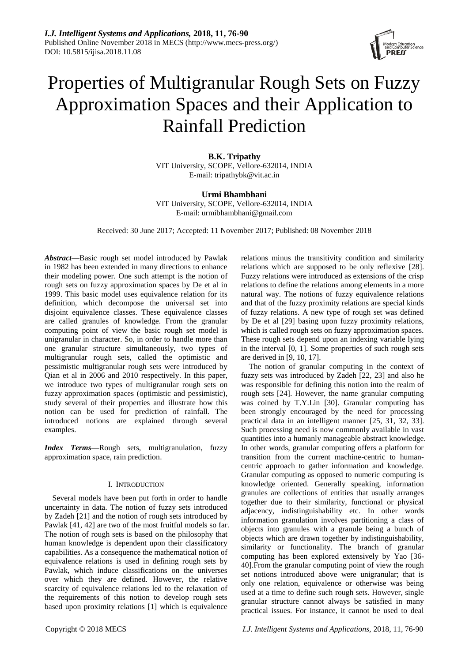

# Properties of Multigranular Rough Sets on Fuzzy Approximation Spaces and their Application to Rainfall Prediction

**B.K. Tripathy** VIT University, SCOPE, Vellore-632014, INDIA E-mail: tripathybk@vit.ac.in

**Urmi Bhambhani** VIT University, SCOPE, Vellore-632014, INDIA E-mail: urmibhambhani@gmail.com

Received: 30 June 2017; Accepted: 11 November 2017; Published: 08 November 2018

*Abstract***—**Basic rough set model introduced by Pawlak in 1982 has been extended in many directions to enhance their modeling power. One such attempt is the notion of rough sets on fuzzy approximation spaces by De et al in 1999. This basic model uses equivalence relation for its definition, which decompose the universal set into disjoint equivalence classes. These equivalence classes are called granules of knowledge. From the granular computing point of view the basic rough set model is unigranular in character. So, in order to handle more than one granular structure simultaneously, two types of multigranular rough sets, called the optimistic and pessimistic multigranular rough sets were introduced by Qian et al in 2006 and 2010 respectively. In this paper, we introduce two types of multigranular rough sets on fuzzy approximation spaces (optimistic and pessimistic), study several of their properties and illustrate how this notion can be used for prediction of rainfall. The introduced notions are explained through several examples.

*Index Terms***—**Rough sets, multigranulation, fuzzy approximation space, rain prediction.

# I. INTRODUCTION

Several models have been put forth in order to handle uncertainty in data. The notion of fuzzy sets introduced by Zadeh [21] and the notion of rough sets introduced by Pawlak [41, 42] are two of the most fruitful models so far. The notion of rough sets is based on the philosophy that human knowledge is dependent upon their classificatory capabilities. As a consequence the mathematical notion of equivalence relations is used in defining rough sets by Pawlak, which induce classifications on the universes over which they are defined. However, the relative scarcity of equivalence relations led to the relaxation of the requirements of this notion to develop rough sets based upon proximity relations [1] which is equivalence relations minus the transitivity condition and similarity relations which are supposed to be only reflexive [28]. Fuzzy relations were introduced as extensions of the crisp relations to define the relations among elements in a more natural way. The notions of fuzzy equivalence relations and that of the fuzzy proximity relations are special kinds of fuzzy relations. A new type of rough set was defined by De et al [29] basing upon fuzzy proximity relations, which is called rough sets on fuzzy approximation spaces. These rough sets depend upon an indexing variable lying in the interval [0, 1]. Some properties of such rough sets are derived in [9, 10, 17].

The notion of granular computing in the context of fuzzy sets was introduced by Zadeh [22, 23] and also he was responsible for defining this notion into the realm of rough sets [24]. However, the name granular computing was coined by T.Y.Lin [30]. Granular computing has been strongly encouraged by the need for processing practical data in an intelligent manner [25, 31, 32, 33]. Such processing need is now commonly available in vast quantities into a humanly manageable abstract knowledge. In other words, granular computing offers a platform for transition from the current machine-centric to humancentric approach to gather information and knowledge. Granular computing as opposed to numeric computing is knowledge oriented. Generally speaking, information granules are collections of entities that usually arranges together due to their similarity, functional or physical adjacency, indistinguishability etc. In other words information granulation involves partitioning a class of objects into granules with a granule being a bunch of objects which are drawn together by indistinguishability, similarity or functionality. The branch of granular computing has been explored extensively by Yao [36- 40].From the granular computing point of view the rough set notions introduced above were unigranular; that is only one relation, equivalence or otherwise was being used at a time to define such rough sets. However, single granular structure cannot always be satisfied in many practical issues. For instance, it cannot be used to deal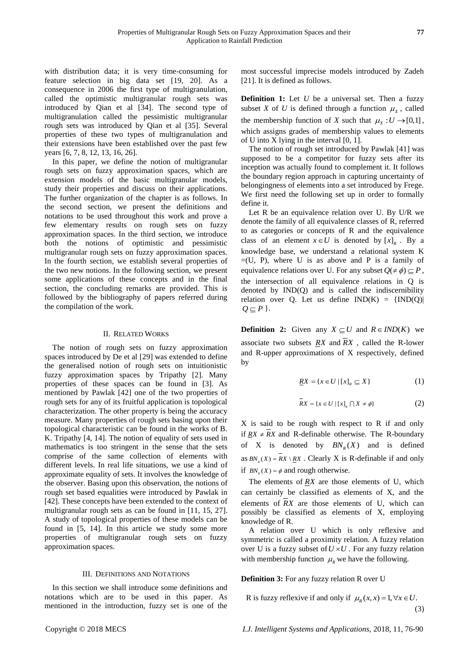with distribution data; it is very time-consuming for feature selection in big data set [19, 20]. As a consequence in 2006 the first type of multigranulation, called the optimistic multigranular rough sets was introduced by Qian et al [34]. The second type of multigranulation called the pessimistic multigranular rough sets was introduced by Qian et al [35]. Several properties of these two types of multigranulation and their extensions have been established over the past few years [6, 7, 8, 12, 13, 16, 26].

In this paper, we define the notion of multigranular rough sets on fuzzy approximation spaces, which are extension models of the basic multigranular models, study their properties and discuss on their applications. The further organization of the chapter is as follows. In the second section, we present the definitions and notations to be used throughout this work and prove a few elementary results on rough sets on fuzzy approximation spaces. In the third section, we introduce both the notions of optimistic and pessimistic multigranular rough sets on fuzzy approximation spaces. In the fourth section, we establish several properties of the two new notions. In the following section, we present some applications of these concepts and in the final section, the concluding remarks are provided. This is followed by the bibliography of papers referred during the compilation of the work.

### II. RELATED WORKS

The notion of rough sets on fuzzy approximation spaces introduced by De et al [29] was extended to define the generalised notion of rough sets on intuitionistic fuzzy approximation spaces by Tripathy [2]. Many properties of these spaces can be found in [3]. As mentioned by Pawlak [42] one of the two properties of rough sets for any of its fruitful application is topological characterization. The other property is being the accuracy measure. Many properties of rough sets basing upon their topological characteristic can be found in the works of B. K. Tripathy [4, 14]. The notion of equality of sets used in mathematics is too stringent in the sense that the sets comprise of the same collection of elements with different levels. In real life situations, we use a kind of approximate equality of sets. It involves the knowledge of the observer. Basing upon this observation, the notions of rough set based equalities were introduced by Pawlak in [42]. These concepts have been extended to the context of multigranular rough sets as can be found in [11, 15, 27]. A study of topological properties of these models can be found in [5, 14]. In this article we study some more properties of multigranular rough sets on fuzzy approximation spaces.

# III. DEFINITIONS AND NOTATIONS

In this section we shall introduce some definitions and notations which are to be used in this paper. As mentioned in the introduction, fuzzy set is one of the

most successful imprecise models introduced by Zadeh [21]. It is defined as follows.

**Definition 1:** Let *U* be a universal set. Then a fuzzy subset *X* of *U* is defined through a function  $\mu_X$ , called the membership function of *X* such that  $\mu_X : U \to [0,1]$ , which assigns grades of membership values to elements of U into X lying in the interval [0, 1].

The notion of rough set introduced by Pawlak [41] was supposed to be a competitor for fuzzy sets after its inception was actually found to complement it. It follows the boundary region approach in capturing uncertainty of belongingness of elements into a set introduced by Frege. We first need the following set up in order to formally define it.

Let R be an equivalence relation over U. By U/R we denote the family of all equivalence classes of R, referred to as categories or concepts of R and the equivalence class of an element  $x \in U$  is denoted by  $[x]_R$ . By a knowledge base, we understand a relational system K  $=(U, P)$ , where U is as above and P is a family of equivalence relations over U. For any subset  $Q(\neq \phi) \subseteq P$ , the intersection of all equivalence relations in Q is denoted by IND(Q) and is called the indiscernibility relation over Q. Let us define  $IND(K) = \{IND(Q) |$  $Q \subseteq P$  }.

**Definition 2:** Given any  $X \subseteq U$  and  $R \in IND(K)$  we associate two subsets *RX* and *RX* , called the R-lower and R-upper approximations of X respectively, defined by

$$
\underline{RX} = \{x \in U \mid [x]_R \subseteq X\}
$$
 (1)

$$
\overline{RX} = \{x \in U \mid [x]_R \cap X \neq \emptyset\}
$$
 (2)

X is said to be rough with respect to R if and only if  $RX \neq RX$  and R-definable otherwise. The R-boundary of X is denoted by  $BN_R(X)$  and is defined as  $BN_{R}(X) = RX \setminus RX$ . Clearly X is R-definable if and only if  $BN_{R}(X) = \phi$  and rough otherwise.

The elements of  $RX$  are those elements of U, which can certainly be classified as elements of X, and the elements of *RX* are those elements of U, which can possibly be classified as elements of X, employing knowledge of R.

A relation over U which is only reflexive and symmetric is called a proximity relation. A fuzzy relation over U is a fuzzy subset of  $U \times U$ . For any fuzzy relation with membership function  $\mu$ <sub>R</sub> we have the following.

**Definition 3:** For any fuzzy relation R over U

R is fuzzy reflexive if and only if  $\mu_R(x, x) = 1, \forall x \in U$ . (3)

Copyright © 2018 MECS *I.J. Intelligent Systems and Applications,* 2018, 11, 76-90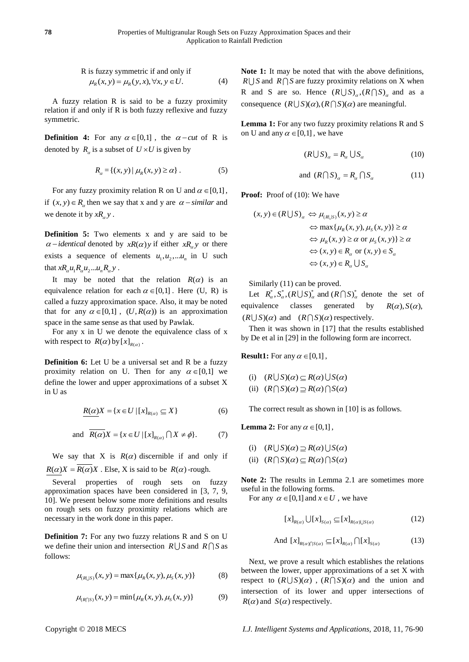R is fuzzy symmetric if and only if  
\n
$$
\mu_R(x, y) = \mu_R(y, x), \forall x, y \in U.
$$
 (4)

A fuzzy relation R is said to be a fuzzy proximity relation if and only if R is both fuzzy reflexive and fuzzy symmetric.

**Definition 4:** For any  $\alpha \in [0,1]$ , the  $\alpha$ -cut of R is denoted by  $R_a$  is a subset of  $U \times U$  is given by

$$
R_{\alpha} = \{(x, y) | \mu_R(x, y) \ge \alpha\}.
$$
 (5)

For any fuzzy proximity relation R on U and  $\alpha \in [0,1]$ , if  $(x, y) \in R_\alpha$  then we say that x and y are  $\alpha$  - *similar* and we denote it by  $xR_{\alpha}y$ .

**Definition 5:** Two elements x and y are said to be  $\alpha$  – *identical* denoted by *xR(* $\alpha$ *)y* if either *xR<sub>a</sub>y* or there exists a sequence of elements  $u_1, u_2, \dots, u_n$  in U such that  $xR_\alpha u_1R_\alpha u_2...u_nR_\alpha y$ .

It may be noted that the relation  $R(\alpha)$  is an equivalence relation for each  $\alpha \in [0,1]$ . Here (U, R) is called a fuzzy approximation space. Also, it may be noted that for any  $\alpha \in [0,1]$ ,  $(U, R(\alpha))$  is an approximation space in the same sense as that used by Pawlak.

For any x in U we denote the equivalence class of x with respect to  $R(\alpha)$  by  $[x]_{R(\alpha)}$ .

**Definition 6:** Let U be a universal set and R be a fuzzy proximity relation on U. Then for any  $\alpha \in [0,1]$  we define the lower and upper approximations of a subset X in U as

$$
\underline{R(\alpha)}X = \{x \in U \mid [x]_{R(\alpha)} \subseteq X\}
$$
 (6)

and 
$$
\overline{R(\alpha)}X = \{x \in U | [x]_{R(\alpha)} \cap X \neq \phi\}.
$$
 (7)

We say that X is  $R(\alpha)$  discernible if and only if  $R(\alpha)X = R(\alpha)X$ . Else, X is said to be  $R(\alpha)$ -rough.

Several properties of rough sets on fuzzy approximation spaces have been considered in [3, 7, 9, 10]. We present below some more definitions and results on rough sets on fuzzy proximity relations which are necessary in the work done in this paper.

**Definition 7:** For any two fuzzy relations R and S on U we define their union and intersection  $R \cup S$  and  $R \cap S$  as follows:

$$
\mu_{(R\cup S)}(x, y) = \max\{\mu_R(x, y), \mu_S(x, y)\}\tag{8}
$$

$$
\mu_{(R \cap S)}(x, y) = \min{\mu_R(x, y), \mu_S(x, y)}
$$
(9)

**Note 1:** It may be noted that with the above definitions,  $R \cup S$  and  $R \cap S$  are fuzzy proximity relations on X when R and S are so. Hence  $(R \cup S)_{\alpha}$ ,  $(R \cap S)_{\alpha}$  and as a consequence  $(R \cup S)(\alpha)$ ,  $(R \cap S)(\alpha)$  are meaningful.

**Lemma 1:** For any two fuzzy proximity relations R and S on U and any  $\alpha \in [0,1]$ , we have

$$
(R \cup S)_{\alpha} = R_{\alpha} \cup S_{\alpha} \tag{10}
$$

and 
$$
(R \cap S)_{\alpha} = R_{\alpha} \cap S_{\alpha}
$$
 (11)

**Proof:** Proof of (10): We have

$$
(x, y) \in (R \cup S)_{\alpha} \Leftrightarrow \mu_{(R \cup S)}(x, y) \ge \alpha
$$
  

$$
\Leftrightarrow \max\{\mu_{R}(x, y), \mu_{S}(x, y)\} \ge \alpha
$$
  

$$
\Leftrightarrow \mu_{R}(x, y) \ge \alpha \text{ or } \mu_{S}(x, y)\} \ge \alpha
$$
  

$$
\Leftrightarrow (x, y) \in R_{\alpha} \text{ or } (x, y) \in S_{\alpha}
$$
  

$$
\Leftrightarrow (x, y) \in R_{\alpha} \cup S_{\alpha}
$$

Similarly (11) can be proved.

Let  $R_{\alpha}^{*}$ ,  $S_{\alpha}^{*}$ ,  $(R \cup S)^{*}_{\alpha}$  and  $(R \cap S)^{*}_{\alpha}$  denote the set of equivalence classes generated by  $R(\alpha)$ ,  $S(\alpha)$ ,  $(R \cup S)(\alpha)$  and  $(R \cap S)(\alpha)$  respectively.

Then it was shown in [17] that the results established by De et al in [29] in the following form are incorrect.

**Result1:** For any  $\alpha \in [0,1]$ ,

(i) 
$$
(R \cup S)(\alpha) \subseteq R(\alpha) \cup S(\alpha)
$$
  
(ii)  $(R \cap S)(\alpha) \supseteq R(\alpha) \cap S(\alpha)$ 

The correct result as shown in [10] is as follows.

**Lemma 2:** For any  $\alpha \in [0,1]$ ,

(i) 
$$
(R \cup S)(\alpha) \supseteq R(\alpha) \cup S(\alpha)
$$

(ii)  $(R \cap S)(\alpha) \subseteq R(\alpha) \cap S(\alpha)$ 

**Note 2:** The results in Lemma 2.1 are sometimes more useful in the following forms.

For any  $\alpha \in [0,1]$  and  $x \in U$ , we have

$$
[x]_{R(\alpha)} \bigcup [x]_{S(\alpha)} \subseteq [x]_{R(\alpha) \cup S(\alpha)} \tag{12}
$$

And 
$$
[x]_{R(\alpha) \cap S(\alpha)} \subseteq [x]_{R(\alpha)} \cap [x]_{S(\alpha)}
$$
 (13)

Next, we prove a result which establishes the relations between the lower, upper approximations of a set X with respect to  $(R \cup S)(\alpha)$ ,  $(R \cap S)(\alpha)$  and the union and intersection of its lower and upper intersections of  $R(\alpha)$  and  $S(\alpha)$  respectively.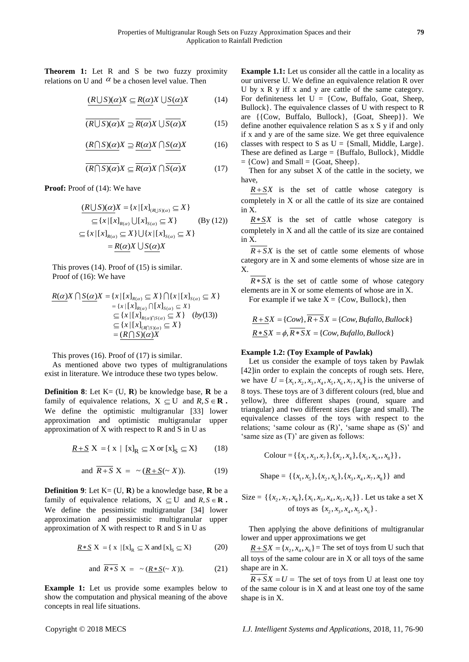**Theorem 1:** Let R and S be two fuzzy proximity relations on U and  $\alpha$  be a chosen level value. Then

$$
\underbrace{(R \cup S)(\alpha)}X \subseteq \underbrace{R(\alpha)}X \cup \underbrace{S(\alpha)}X \tag{14}
$$

$$
\overline{(R\cup S)(\alpha)}X \supseteq \overline{R(\alpha)}X \cup \overline{S(\alpha)}X \tag{15}
$$

$$
(R \cap S)(\alpha)X \supseteq R(\alpha)X \cap S(\alpha)X \tag{16}
$$

$$
\overline{(R \cap S)(\alpha)} X \subseteq \overline{R(\alpha)} X \cap \overline{S(\alpha)} X \tag{17}
$$

**Proof:** Proof of (14): We have

$$
\frac{(R\bigcup S)(\alpha)X = \{x \mid [x]_{(R\bigcup S)(\alpha)} \subseteq X\}}{\subseteq \{x \mid [x]_{R(\alpha)} \cup [x]_{S(\alpha)} \subseteq X\}} \quad \text{(By (12))}
$$
\n
$$
\subseteq \{x \mid [x]_{R(\alpha)} \subseteq X\} \cup \{x \mid [x]_{S(\alpha)} \subseteq X\}
$$
\n
$$
= R(\alpha)X \cup S(\alpha)X
$$

This proves (14). Proof of (15) is similar. Proof of (16): We have

$$
\frac{R(\alpha)X \cap S(\alpha)X}{\alpha} = \{x \mid [x]_{R(\alpha)} \subseteq X\} \cap \{x \mid [x]_{S(\alpha)} \subseteq X\}
$$
\n
$$
= \{x \mid [x]_{R(\alpha)} \cap [x]_{S(\alpha)} \subseteq X\}
$$
\n
$$
\subseteq \{x \mid [x]_{R(\alpha) \cap S(\alpha)} \subseteq X\} \quad (by(13))
$$
\n
$$
\subseteq \{x \mid [x]_{(R \cap S)(\alpha)} \subseteq X\}
$$
\n
$$
= \frac{(R \cap S)(\alpha)X}{\alpha}
$$

This proves (16). Proof of (17) is similar.

As mentioned above two types of multigranulations exist in literature. We introduce these two types below.

**Definition 8:** Let  $K = (U, R)$  be knowledge base,  $R$  be a family of equivalence relations,  $X \subseteq U$  and  $R, S \in \mathbb{R}$ . We define the optimistic multigranular [33] lower approximation and optimistic multigranular upper approximation of X with respect to R and S in U as

$$
\underline{R+S} X = \{ x \mid [x]_R \subseteq X \text{ or } [x]_S \subseteq X \}
$$
 (18)

and 
$$
\overline{R+S} X = \sim (R+S(\sim X)).
$$
 (19)

**Definition 9:** Let  $K = (U, R)$  be a knowledge base,  $R$  be a family of equivalence relations,  $X \subseteq U$  and  $R, S \in \mathbb{R}$ . We define the pessimistic multigranular [34] lower approximation and pessimistic multigranular upper approximation of X with respect to R and S in U as

$$
\underline{R*S} X = \{ x \mid [x]_R \subseteq X \text{ and } [x]_S \subseteq X \}
$$
 (20)

and 
$$
\overline{R*S} X = \sim (\underline{R*S}(\sim X)).
$$
 (21)

**Example 1:** Let us provide some examples below to show the computation and physical meaning of the above concepts in real life situations.

**Example 1.1:** Let us consider all the cattle in a locality as our universe U. We define an equivalence relation R over U by x R y iff x and y are cattle of the same category. For definiteness let  $U = \{Cow, Buffalo, Goat, Sheep,$ Bullock}. The equivalence classes of U with respect to R are {{Cow, Buffalo, Bullock}, {Goat, Sheep}}. We define another equivalence relation S as x S y if and only if x and y are of the same size. We get three equivalence classes with respect to S as  $U = \{Small, Middle, Large\}.$ These are defined as  $Large = {Butfalo, Bullock}$ . Middle  $=$  {Cow} and Small  $=$  {Goat, Sheep}.

Then for any subset  $X$  of the cattle in the society, we have,

 $R + SX$  is the set of cattle whose category is completely in X or all the cattle of its size are contained in X.

 $R \times SX$  is the set of cattle whose category is completely in X and all the cattle of its size are contained in X.

 $R + SX$  is the set of cattle some elements of whose category are in X and some elements of whose size are in X.

 $R \times SX$  is the set of cattle some of whose category elements are in X or some elements of whose are in X. For example if we take  $X = \{Cow, Bullock\}$ , then

$$
\underline{R+S}X = \{Cow\}, \overline{R+S}X = \{Cow, Byfallo, Bullock\}
$$

$$
\underline{R*S}X = \phi, \overline{R*S}X = \{Cow, Byfallo, Bullock\}
$$

# **Example 1.2: (Toy Example of Pawlak)**

Let us consider the example of toys taken by Pawlak [42]in order to explain the concepts of rough sets. Here, we have  $U = \{x_1, x_2, x_3, x_4, x_5, x_6, x_7, x_8\}$  is the universe of 8 toys. These toys are of 3 different colours (red, blue and yellow), three different shapes (round, square and triangular) and two different sizes (large and small). The equivalence classes of the toys with respect to the relations; 'same colour as (R)', 'same shape as (S)' and 'same size as (T)' are given as follows:

$$
Colour = \{ \{x_1, x_3, x_7\}, \{x_2, x_4\}, \{x_5, x_6, x_8\} \},
$$

Shape = {
$$
\{x_1, x_5\}, \{x_2, x_6\}, \{x_3, x_4, x_7, x_8\}
$$
} and

Size = {{ $x_2, x_7, x_8$ }, { $x_1, x_3, x_4, x_5, x_6$ }}. Let us take a set X of toys as  $\{x_2, x_3, x_4, x_5, x_6\}$ .

Then applying the above definitions of multigranular lower and upper approximations we get

 $\underline{R + \underline{S}}X = \{x_2, x_4, x_6\}$  = The set of toys from U such that all toys of the same colour are in X or all toys of the same shape are in X.

 $R + SX = U =$  The set of toys from U at least one toy of the same colour is in X and at least one toy of the same shape is in X.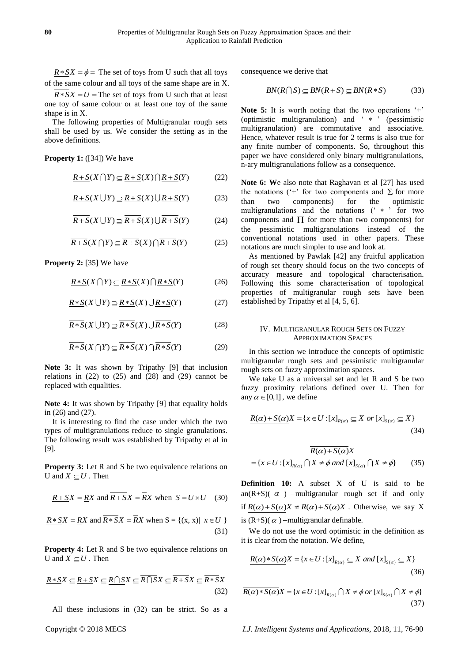$R * SX = \phi =$  The set of toys from U such that all toys of the same colour and all toys of the same shape are in X.

 $R \times SX = U$  = The set of toys from U such that at least one toy of same colour or at least one toy of the same shape is in X.

The following properties of Multigranular rough sets shall be used by us. We consider the setting as in the above definitions.

**Property 1:** ([34]) We have

$$
\underline{R+S}(X\bigcap Y)\subseteq \underline{R+S}(X)\bigcap \underline{R+S}(Y)\tag{22}
$$

$$
\underline{R+S}(X \cup Y) \supseteq \underline{R+S}(X) \cup \underline{R+S}(Y) \tag{23}
$$

$$
\overline{R+S}(X \cup Y) \supseteq \overline{R+S}(X) \cup \overline{R+S}(Y) \tag{24}
$$

 $\overline{R+S}(X \cap Y) \subset \overline{R+S}(X) \cap \overline{R+S}(Y)$  (25)

**Property 2:** [35] We have

$$
\underline{R*S(X\bigcap Y)\subseteq \underline{R*S(X)\bigcap R*S(Y)}}\tag{26}
$$

$$
\underline{R*S}(X \cup Y) \supseteq \underline{R*S}(X) \cup \underline{R*S}(Y) \tag{27}
$$

$$
\overline{R\ast S}(X \cup Y) \supseteq \overline{R\ast S}(X) \cup \overline{R\ast S}(Y) \tag{28}
$$

$$
\overline{R\ast S}(X\cap Y) \subseteq \overline{R\ast S}(X)\cap \overline{R\ast S}(Y) \tag{29}
$$

**Note 3:** It was shown by Tripathy [9] that inclusion relations in  $(22)$  to  $(25)$  and  $(28)$  and  $(29)$  cannot be replaced with equalities.

**Note 4:** It was shown by Tripathy [9] that equality holds in (26) and (27).

It is interesting to find the case under which the two types of multigranulations reduce to single granulations. The following result was established by Tripathy et al in [9].

**Property 3:** Let R and S be two equivalence relations on U and  $X \subseteq U$ . Then

$$
\underline{R+S}X = \underline{R}X \text{ and } \overline{R+S}X = \overline{R}X \text{ when } S = U \times U \quad (30)
$$

$$
\underline{R*S}X = \underline{RX} \text{ and } \overline{R*S}X = \overline{RX} \text{ when } S = \{(x, x) | x \in U \}
$$
\n(31)

**Property 4:** Let R and S be two equivalence relations on U and  $X \subseteq U$ . Then

$$
\underline{R*S}X \subseteq \underline{R+S}X \subseteq \underline{R \cap S}X \subseteq \overline{R \cap S}X \subseteq \overline{R+S}X \subseteq \overline{R*S}
$$
\n(32)

All these inclusions in (32) can be strict. So as a

consequence we derive that

$$
BN(R \cap S) \subseteq BN(R+S) \subseteq BN(R*S)
$$
 (33)

**Note 5:** It is worth noting that the two operations '+' (optimistic multigranulation) and ' \* ' (pessimistic multigranulation) are commutative and associative. Hence, whatever result is true for 2 terms is also true for any finite number of components. So, throughout this paper we have considered only binary multigranulations, n-ary multigranulations follow as a consequence.

E.S(X F) The Key Kopyright Copyright Copyright Copyright Copyright Copyright Copyright Copyright Copyright Copyright Copyright Copyright Copyright Copyright Copyright Copyright Copyright Copyright Copyright Copyright Copy **Note 6: W**e also note that Raghavan et al [27] has used the notations ( $\lq\lq\lq\lq$  for two components and  $\Sigma$  for more than two components) for the optimistic multigranulations and the notations ('\*' for two components and  $\Pi$  for more than two components) for the pessimistic multigranulations instead of the conventional notations used in other papers. These notations are much simpler to use and look at.

As mentioned by Pawlak [42] any fruitful application of rough set theory should focus on the two concepts of accuracy measure and topological characterisation. Following this some characterisation of topological properties of multigranular rough sets have been established by Tripathy et al [4, 5, 6].

# IV. MULTIGRANULAR ROUGH SETS ON FUZZY APPROXIMATION SPACES

In this section we introduce the concepts of optimistic multigranular rough sets and pessimistic multigranular rough sets on fuzzy approximation spaces.

We take U as a universal set and let R and S be two fuzzy proximity relations defined over U. Then for any  $\alpha \in [0,1]$ , we define

$$
R(\alpha) + S(\alpha)X = \{x \in U : [x]_{R(\alpha)} \subseteq X \text{ or } [x]_{S(\alpha)} \subseteq X\}
$$
\n(34)

$$
\overline{R(\alpha) + S(\alpha)}X
$$
  
= { $x \in U : [x]_{R(\alpha)} \cap X \neq \phi$  and  $[x]_{S(\alpha)} \cap X \neq \phi$ } (35)

**Definition 10:** A subset X of U is said to be an(R+S)( $\alpha$ ) -multigranular rough set if and only if  $R(\alpha) + S(\alpha)X \neq \overline{R(\alpha) + S(\alpha)}X$ . Otherwise, we say X is  $(R+S)(\alpha)$  –multigranular definable.

We do not use the word optimistic in the definition as it is clear from the notation. We define,

$$
R(\alpha) * S(\alpha)X = \{x \in U : [x]_{R(\alpha)} \subseteq X \text{ and } [x]_{S(\alpha)} \subseteq X\}
$$
\n(36)

$$
\overline{R(\alpha)*S(\alpha)}X = \{x \in U : [x]_{R(\alpha)} \cap X \neq \phi \text{ or } [x]_{S(\alpha)} \cap X \neq \phi\}
$$
\n(37)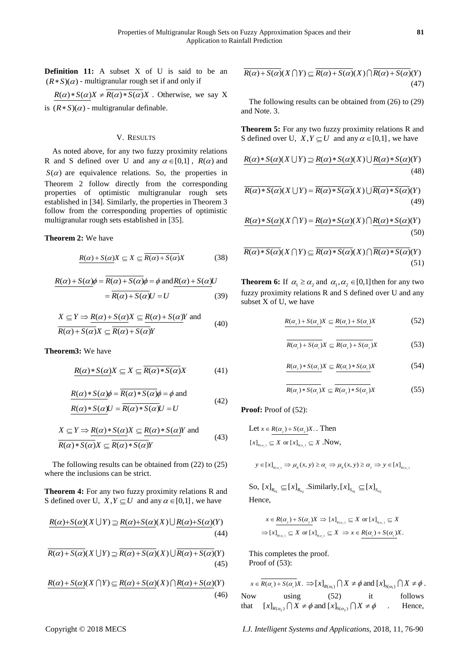**Definition 11:** A subset X of U is said to be an  $(R * S)(\alpha)$  - multigranular rough set if and only if

 $R(\alpha)*S(\alpha)X \neq \overline{R(\alpha)*S(\alpha)}X$ . Otherwise, we say X is  $(R * S)(\alpha)$  - multigranular definable.

# V. RESULTS

As noted above, for any two fuzzy proximity relations R and S defined over U and any  $\alpha \in [0,1]$ ,  $R(\alpha)$  and  $S(\alpha)$  are equivalence relations. So, the properties in Theorem 2 follow directly from the corresponding properties of optimistic multigranular rough sets established in [34]. Similarly, the properties in Theorem 3 follow from the corresponding properties of optimistic multigranular rough sets established in [35].

# **Theorem 2:** We have

$$
\underline{R(\alpha) + S(\alpha)}X \subseteq X \subseteq \overline{R(\alpha) + S(\alpha)}X \tag{38}
$$

$$
\frac{R(\alpha) + S(\alpha)\phi}{\pi} = \frac{R(\alpha) + S(\alpha)\phi}{R(\alpha) + S(\alpha)U} = \frac{R(\alpha) + S(\alpha)U}{R(\alpha) + S(\alpha)U} = U \tag{39}
$$

$$
X \subseteq Y \implies R(\alpha) + S(\alpha)X \subseteq R(\alpha) + S(\alpha)Y \text{ and}
$$
  
\n
$$
\overline{R(\alpha) + S(\alpha)}X \subseteq \overline{R(\alpha) + S(\alpha)}Y
$$
 (40)

**Theorem3:** We have

$$
\underline{R(\alpha)*S(\alpha)}X \subseteq X \subseteq \overline{R(\alpha)*S(\alpha)}X\tag{41}
$$

$$
\frac{R(\alpha) * S(\alpha)\phi = \overline{R(\alpha) * S(\alpha)}\phi = \phi \text{ and}}{R(\alpha) * S(\alpha)U = \overline{R(\alpha) * S(\alpha)}U = U}
$$
(42)

$$
X \subseteq Y \implies R(\alpha) * S(\alpha)X \subseteq R(\alpha) * S(\alpha)Y \text{ and}
$$
  
\n
$$
R(\alpha) * S(\alpha)X \subseteq R(\alpha) * S(\alpha)Y
$$
\n(43)

The following results can be obtained from (22) to (25) where the inclusions can be strict.

**Theorem 4:** For any two fuzzy proximity relations R and S defined over U,  $X, Y \subseteq U$  and any  $\alpha \in [0,1]$ , we have

$$
R(\alpha)+S(\alpha)(X \cup Y) \supseteq R(\alpha)+S(\alpha)(X) \cup R(\alpha)+S(\alpha)(Y)
$$
\n(44)

$$
\overline{R(\alpha) + S(\alpha)}(X \cup Y) \supseteq \overline{R(\alpha) + S(\alpha)}(X) \cup \overline{R(\alpha) + S(\alpha)}(Y)
$$
\n(45)

(45)  
\n
$$
R(\alpha) + S(\alpha)(X \cap Y) \subseteq R(\alpha) + S(\alpha)(X) \cap R(\alpha) + S(\alpha)(Y)
$$
\n(46)

$$
\overline{R(\alpha) + S(\alpha)}(X \cap Y) \subseteq \overline{R(\alpha) + S(\alpha)}(X) \cap \overline{R(\alpha) + S(\alpha)}(Y)
$$
\n(47)

The following results can be obtained from (26) to (29) and Note. 3.

**Theorem 5:** For any two fuzzy proximity relations R and S defined over U,  $X, Y \subseteq U$  and any  $\alpha \in [0,1]$ , we have

$$
R(\alpha)*S(\alpha)(X \cup Y) \supseteq R(\alpha)*S(\alpha)(X) \cup R(\alpha)*S(\alpha)(Y)
$$
\n(48)

(46)  

$$
\overline{R(\alpha)*S(\alpha)}(X \cup Y) = \overline{R(\alpha)*S(\alpha)}(X) \cup \overline{R(\alpha)*S(\alpha)}(Y)
$$
(49)

(49)  
\n
$$
R(\alpha) * S(\alpha)(X \cap Y) = R(\alpha) * S(\alpha)(X) \cap R(\alpha) * S(\alpha)(Y)
$$
\n(50)

(50)  

$$
\overline{R(\alpha)^* S(\alpha)}(X \cap Y) \subseteq \overline{R(\alpha)^* S(\alpha)}(X) \cap \overline{R(\alpha)^* S(\alpha)}(Y)
$$
(51)

**Theorem 6:** If  $\alpha_1 \ge \alpha_2$  and  $\alpha_1, \alpha_2 \in [0,1]$  then for any two fuzzy proximity relations R and S defined over U and any subset X of U, we have

$$
R(\alpha_{2}) + S(\alpha_{2})X \subseteq R(\alpha_{1}) + S(\alpha_{1})X \tag{52}
$$

$$
\overline{R(\alpha_1) + S(\alpha_1)}X \subseteq \overline{R(\alpha_2) + S(\alpha_2)}X
$$
 (53)

$$
R(\alpha_{2}) * S(\alpha_{2})X \subseteq R(\alpha_{1}) * S(\alpha_{1})X \tag{54}
$$

$$
\overline{R(\alpha_1)^* S(\alpha_1)} X \subseteq \overline{R(\alpha_2)^* S(\alpha_2)} X \tag{55}
$$

**Proof:** Proof of (52):

Let 
$$
x \in R(\alpha_2) + S(\alpha_2)X
$$
. Then  
\n
$$
[x]_{R(\alpha_1)} \subseteq X \text{ or } [x]_{S(\alpha_1)} \subseteq X \text{ .Now,}
$$

$$
y \in [x]_{R(a_i)} \Rightarrow \mu_R(x, y) \ge \alpha_i \Rightarrow \mu_R(x, y) \ge \alpha_2 \Rightarrow y \in [x]_{R(a_i)}
$$

So,  $[x]_{R_{\alpha_1}} \subseteq [x]_{R_{\alpha_2}}$ . Similarly,  $[x]_{S_{\alpha_1}} \subseteq [x]_{S_{\alpha_2}}$ Hence,

$$
x \in \frac{R(\alpha_2) + S(\alpha_2)X \implies [x]_{R(\alpha_1)} \subseteq X \text{ or } [x]_{S(\alpha_1)} \subseteq X
$$
  

$$
\implies [x]_{R(\alpha_2)} \subseteq X \text{ or } [x]_{S(\alpha_2)} \subseteq X \implies x \in R(\alpha_1) + S(\alpha_1)X.
$$

This completes the proof. Proof of (53):

 $1 \t -3(a)$ 

 $x \in \overline{R(\alpha_1) + S(\alpha_1)}X$ .  $\Rightarrow [x]_{R(\alpha_1)} \cap X \neq \emptyset$  and  $[x]_{S(\alpha_1)} \cap X \neq \emptyset$ . Now using (52) it follows Now using  $(52)$  it<br>that  $[x]_{R(\alpha_2)} \cap X \neq \emptyset$  and  $[x]_{S(\alpha_2)} \cap X \neq \emptyset$ . Hence,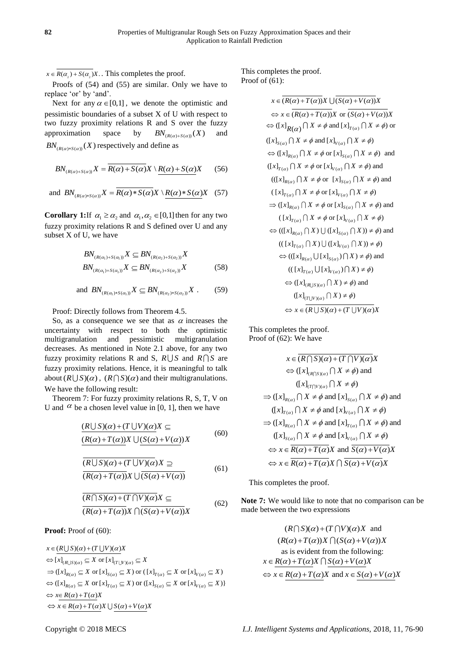$x \in R(\alpha_2) + S(\alpha_2)X$ . This completes the proof.

Proofs of (54) and (55) are similar. Only we have to replace 'or' by 'and'.

Next for any  $\alpha \in [0,1]$ , we denote the optimistic and pessimistic boundaries of a subset X of U with respect to two fuzzy proximity relations R and S over the fuzzy approximation space by  $BN_{(R(\alpha)+S(\alpha))}(X)$ and  $BN_{(R(\alpha)*S(\alpha))}(X)$  respectively and define as

$$
BN_{(R(\alpha)+S(\alpha))}X = \overline{R(\alpha)+S(\alpha)}X \setminus \underline{R(\alpha)+S(\alpha)}X \qquad (56)
$$

and 
$$
BN_{(R(\alpha)*S(\alpha))}X = \overline{R(\alpha)*S(\alpha)}X \setminus \underline{R(\alpha)*S(\alpha)}X
$$
 (57)

**Corollary 1:**If  $\alpha_1 \ge \alpha_2$  and  $\alpha_1, \alpha_2 \in [0,1]$  then for any two fuzzy proximity relations R and S defined over U and any subset X of U, we have

$$
BN_{(R(\alpha_1)+S(\alpha_1))} X \subseteq BN_{(R(\alpha_2)+S(\alpha_2))} X
$$
  
\n
$$
BN_{(R(\alpha_1)+S(\alpha_1))} X \subseteq BN_{(R(\alpha_2)+S(\alpha_2))} X
$$
 (58)

and 
$$
BN_{(R(\alpha_1)*S(\alpha_1))}X \subseteq BN_{(R(\alpha_2)*S(\alpha_2))}X
$$
. (59)

Proof: Directly follows from Theorem 4.5.

So, as a consequence we see that as  $\alpha$  increases the uncertainty with respect to both the optimistic multigranulation and pessimistic multigranulation decreases. As mentioned in Note 2.1 above, for any two fuzzy proximity relations R and S,  $R \cup S$  and  $R \cap S$  are fuzzy proximity relations. Hence, it is meaningful to talk about  $(R \cup S)(\alpha)$ ,  $(R \cap S)(\alpha)$  and their multigranulations. We have the following result:

Theorem 7: For fuzzy proximity relations R, S, T, V on U and  $\alpha$  be a chosen level value in [0, 1], then we have

$$
\frac{(R\bigcup S)(\alpha) + (T\bigcup V)(\alpha)X}{(R(\alpha) + T(\alpha))X\bigcup (S(\alpha) + V(\alpha))X}
$$
\n(60)

$$
\frac{\overline{(R\cup S)(\alpha)+(T\cup V)(\alpha)}X \supseteq}{\overline{(R(\alpha)+T(\alpha))}X\cup \overline{(S(\alpha)+V(\alpha))}}
$$
(61)

$$
\frac{\overline{(R \cap S)(\alpha) + (T \cap V)(\alpha)}X \subseteq}{\overline{(R(\alpha) + T(\alpha))}X \cap \overline{(S(\alpha) + V(\alpha))}X}
$$
(62)

Proof: Proof of (60):

 $x \in (R \cup S)(\alpha) + (T \cup V)(\alpha)X$ <br>  $\Leftrightarrow [x]_{(R \cup S)(\alpha)} \subseteq X$  or  $[x]_{(T \cup V)(\alpha)} \subseteq X$  $\overline{[x]_{(R\cup S)(\alpha)} \subseteq X \text{ or } [x]_{(T\cup V)(\alpha)} \subseteq X}$ <br>  $([x]_{R(\alpha)} \subseteq X \text{ or } [x]_{S(\alpha)} \subseteq X) \text{ or } ([x]_{T(\alpha)} \subseteq X \text{ or } [x]_{V(\alpha)} \subseteq X)$  $([x]_{R(\alpha)} \subseteq X \text{ or } [x]_{S(\alpha)} \subseteq X) \text{ or } ([x]_{T(\alpha)} \subseteq X \text{ or } [x]_{V(\alpha)} \subseteq X)$ <br>  $([x]_{R(\alpha)} \subseteq X \text{ or } [x]_{T(\alpha)} \subseteq X) \text{ or } ([x]_{S(\alpha)} \subseteq X \text{ or } [x]_{V(\alpha)} \subseteq X)$ **Proof:** Proof of (bU):<br> $x \in (R \cup S)(\alpha) + (T \cup V)(\alpha)X$ ( ) ( ) *R T S V x R T X*  $\Rightarrow$   $x \in R(\alpha) + T(\alpha)X$ <br>  $\Rightarrow$   $x \in R(\alpha) + T(\alpha)X$ <br>  $\Rightarrow$   $x \in R(\alpha) + T(\alpha)X \cup S(\alpha) + V(\alpha)X$  $\begin{aligned} &\frac{1}{\binom{R\cup S}{\alpha}} \subseteq X \text{ or } [x]_{(T\cup V)(\alpha)} \subseteq X \\ &x\big|_{R(\alpha)} \subseteq X \text{ or } [x]_{S(\alpha)} \subseteq X \text{ or } ([x]_{T(\alpha)} \subseteq X \text{ or } [x]_{V(\alpha)} \subseteq X \\ &x\big|_{R(\alpha)} \subseteq X \text{ or } [x]_{T(\alpha)} \subseteq X \text{ or } ([x]_{S(\alpha)} \subseteq X \text{ or } [x]_{V(\alpha)} \subseteq X \end{aligned}$  $\begin{aligned} &\Leftrightarrow \overline{[x]_{(R\cup S)(\alpha)} \subseteq X \text{ or } [x]_{(T\cup V)(\alpha)} \subseteq X} \\ &\Rightarrow ([x]_{R(\alpha)} \subseteq X \text{ or } [x]_{S(\alpha)} \subseteq X) \text{ or } ([x]_{T(\alpha)} \subseteq X \text{ or } [x]_{V(\alpha)} \subseteq X) \\ &\Leftrightarrow ([x]_{R(\alpha)} \subseteq X \text{ or } [x]_{T(\alpha)} \subseteq X) \text{ or } ([x]_{S(\alpha)} \subseteq X \text{ or } [x]_{V(\alpha)} \subseteq X) \} \end{aligned}$  $\Rightarrow ([x]_{R(\alpha)} \subseteq X \text{ or } [x]_{S(\alpha)} \subseteq X) \text{ or } ([x]_{T(\alpha)} \subseteq X \text{ or } [x]_{V(\alpha)} \subseteq X)$ <br>  $\Leftrightarrow ([x]_{R(\alpha)} \subseteq X \text{ or } [x]_{T(\alpha)} \subseteq X) \text{ or } ([x]_{S(\alpha)} \subseteq X \text{ or } [x]_{V(\alpha)} \subseteq X)$  $\Leftrightarrow$  ([x]<sub>R(α)</sub> ⊆ X or [x<br>  $\Leftrightarrow$  x<u>∈ R(α)+T(α)</u>X

This completes the proof. Proof of  $(61)$ :

> $x \in \overline{(R(\alpha) + T(\alpha))X \cup (S(\alpha) + V(\alpha))X}$  $\Leftrightarrow$   $x \in (R(\alpha) + T(\alpha))X$  or  $(S(\alpha) + V(\alpha))X$  $\Leftrightarrow$   $x \in (R(\alpha) + I(\alpha))X$  or  $(S(\alpha) + V(\alpha))X$ <br>  $\Leftrightarrow ([x]_{R(\alpha)} \cap X \neq \emptyset \text{ and } [x]_{T(\alpha)} \cap X \neq \emptyset)$  or  $([x]_{S(\alpha)} \cap X \neq \phi \text{ and } [x]_{V(\alpha)} \cap X \neq \phi)$  $\Leftrightarrow ([x]_{R(\alpha)} \cap X \neq \emptyset \text{ or } [x]_{S(\alpha)} \cap X \neq \emptyset) \text{ and}$  $\bigoplus_{\alpha} \bigoplus_{\alpha} \bigoplus_{\alpha} \bigcap_{\alpha} X \neq \emptyset$  or  $\big[ x \big]_{V(\alpha)} \bigcap X \neq \emptyset \big)$  and  $(( [x]_{R(\alpha)} \cap X \neq \phi \text{ or } [x]_{S(\alpha)} \cap X \neq \phi) \text{ and }$  $([x]_{T(\alpha)} \cap X \neq \phi \text{ or } [x]_{V(\alpha)} \cap X \neq \phi)$  $\Rightarrow$   $([x]_{R(\alpha)} \cap X \neq \emptyset$  or  $[x]_{S(\alpha)} \cap X \neq \emptyset$  and<br> $\Rightarrow$   $([x]_{R(\alpha)} \cap X \neq \emptyset$  or  $[x]_{S(\alpha)} \cap X \neq \emptyset)$  and  $((x]_{T(\alpha)} \cap X \neq \phi \text{ or } [x]_{V(\alpha)} \cap X \neq \phi)$  $\Leftrightarrow$   $(([x]_{R(\alpha)} \cap X) \cup ([x]_{S(\alpha)} \cap X)) \neq \emptyset$  and  $(( [x]_{T(\alpha)} \cap X) \cup ([x]_{V(\alpha)} \cap X)) \neq \emptyset)$  $\Leftrightarrow (([x]_{R(\alpha)} \cup [x]_{S(\alpha)}) \cap X) \neq \phi)$  and  $(( [x]_{T(\alpha)} \cup [x]_{V(\alpha)}) \cap X) \neq \phi)$  $\Leftrightarrow$   $([x]_{(R\cup S)(\alpha)} \cap X \neq \phi)$  and  $([x]_{(T\cup V)(\alpha)} \bigcap X \big) \neq \phi$  $\Leftrightarrow$   $x \in \overline{(R \cup S)(\alpha) + (T \cup V)(\alpha)}X$

This completes the proof. Proof of (62): We have

$$
x \in \overline{(R \cap S)(\alpha) + (T \cap V)(\alpha)}X
$$
  
\n
$$
\Leftrightarrow ([x]_{(R \cap S)(\alpha)} \cap X \neq \phi) \text{ and}
$$
  
\n
$$
([x]_{(T \cap V)(\alpha)} \cap X \neq \phi)
$$
  
\n
$$
\Rightarrow ([x]_{R(\alpha)} \cap X \neq \phi \text{ and } [x]_{S(\alpha)} \cap X \neq \phi) \text{ and}
$$
  
\n
$$
([x]_{T(\alpha)} \cap X \neq \phi \text{ and } [x]_{V(\alpha)} \cap X \neq \phi)
$$
  
\n
$$
\Rightarrow ([x]_{R(\alpha)} \cap X \neq \phi \text{ and } [x]_{T(\alpha)} \cap X \neq \phi) \text{ and}
$$
  
\n
$$
([x]_{S(\alpha)} \cap X \neq \phi \text{ and } [x]_{V(\alpha)} \cap X \neq \phi)
$$
  
\n
$$
\Leftrightarrow x \in R(\alpha) + T(\alpha)X \text{ and } \overline{S(\alpha) + V(\alpha)}X
$$
  
\n
$$
\Leftrightarrow x \in R(\alpha) + T(\alpha)X \cap \overline{S(\alpha) + V(\alpha)}X
$$

This completes the proof.

**Note 7:** We would like to note that no comparison can be made between the two expressions

( )( ) ( )( ) *R S T V X* and ( ( ) ( )) ( ( ) ( )) *R T X S V X* as is evident from the following: ( ) ( ) ( ) ( ) ( ) ( ) and ( ) ( ) *x R T X S V X x R T X x S V X*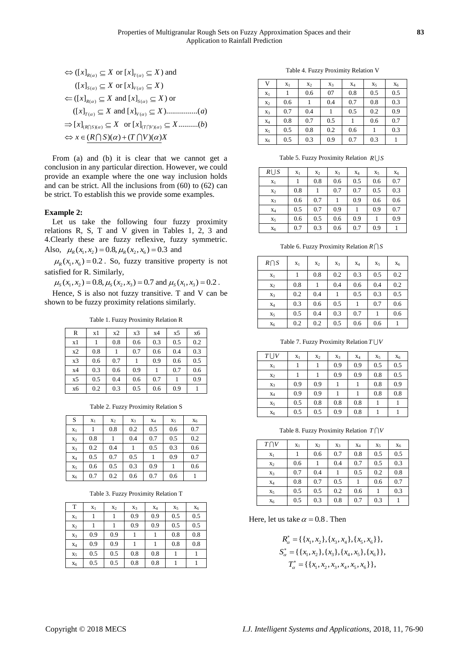$$
\Leftrightarrow ([x]_{R(\alpha)} \subseteq X \text{ or } [x]_{T(\alpha)} \subseteq X) \text{ and}
$$
  
\n
$$
([x]_{S(\alpha)} \subseteq X \text{ or } [x]_{V(\alpha)} \subseteq X)
$$
  
\n
$$
\Leftrightarrow ([x]_{R(\alpha)} \subseteq X \text{ and } [x]_{S(\alpha)} \subseteq X) \text{ or}
$$
  
\n
$$
([x]_{T(\alpha)} \subseteq X \text{ and } [x]_{V(\alpha)} \subseteq X) \dots \dots \dots \dots (a)
$$
  
\n
$$
\Rightarrow [x]_{(R \cap S)(\alpha)} \subseteq X \text{ or } [x]_{(T \cap V)(\alpha)} \subseteq X \dots \dots \dots (b)
$$
  
\n
$$
\Leftrightarrow x \in (R \cap S)(\alpha) + (T \cap V)(\alpha)X
$$

From (a) and (b) it is clear that we cannot get a conclusion in any particular direction. However, we could provide an example where the one way inclusion holds and can be strict. All the inclusions from (60) to (62) can be strict. To establish this we provide some examples.

# **Example 2:**

Let us take the following four fuzzy proximity relations R, S, T and V given in Tables 1, 2, 3 and 4.Clearly these are fuzzy reflexive, fuzzy symmetric. Also,  $\mu_R(x_1, x_2) = 0.8, \mu_R(x_2, x_6) = 0.3$  and

 $\mu_R(x_1, x_6) = 0.2$ . So, fuzzy transitive property is not satisfied for R. Similarly,

 $\mu_{s}(x_1, x_2) = 0.8, \mu_{s}(x_2, x_3) = 0.7$  and  $\mu_{s}(x_1, x_3) = 0.2$ .

Hence, S is also not fuzzy transitive. T and V can be shown to be fuzzy proximity relations similarly.

Table 1. Fuzzy Proximity Relation R

| R  | x1  | x2  | x3  | x4  | x5  | x6  |
|----|-----|-----|-----|-----|-----|-----|
| x1 |     | 0.8 | 0.6 | 0.3 | 0.5 | 0.2 |
| x2 | 0.8 |     | 0.7 | 0.6 | 0.4 | 0.3 |
| x3 | 0.6 | 0.7 |     | 0.9 | 0.6 | 0.5 |
| x4 | 0.3 | 0.6 | 0.9 |     | 0.7 | 0.6 |
| x5 | 0.5 | 0.4 | 0.6 | 0.7 |     | 0.9 |
| x6 | 0.2 | 0.3 | 0.5 | 0.6 | 0.9 |     |

Table 2. Fuzzy Proximity Relation S

| S              | $X_1$ | $X_2$ | $X_3$ | $X_4$ | X <sub>5</sub> | $X_6$ |
|----------------|-------|-------|-------|-------|----------------|-------|
| $X_1$          |       | 0.8   | 0.2   | 0.5   | 0.6            | 0.7   |
| X <sub>2</sub> | 0.8   |       | 0.4   | 0.7   | 0.5            | 0.2   |
| $X_3$          | 0.2   | 0.4   |       | 0.5   | 0.3            | 0.6   |
| $X_4$          | 0.5   | 0.7   | 0.5   |       | 0.9            | 0.7   |
| $X_5$          | 0.6   | 0.5   | 0.3   | 0.9   |                | 0.6   |
| $X_6$          | 0.7   | 0.2   | 0.6   | 0.7   | 0.6            |       |

### Table 3. Fuzzy Proximity Relation T

| T              | $X_1$ | $X_2$ | $X_3$ | $X_4$ | $X_5$ | $X_6$ |
|----------------|-------|-------|-------|-------|-------|-------|
| $x_1$          |       |       | 0.9   | 0.9   | 0.5   | 0.5   |
| X <sub>2</sub> |       |       | 0.9   | 0.9   | 0.5   | 0.5   |
| $X_3$          | 0.9   | 0.9   |       |       | 0.8   | 0.8   |
| $X_4$          | 0.9   | 0.9   |       |       | 0.8   | 0.8   |
| X <sub>5</sub> | 0.5   | 0.5   | 0.8   | 0.8   |       |       |
| $X_6$          | 0.5   | 0.5   | 0.8   | 0.8   |       |       |

Table 4. Fuzzy Proximity Relation V

| V              | $x_1$ | $X_2$ | $X_3$ | $X_4$ | $X_5$ | $X_6$ |
|----------------|-------|-------|-------|-------|-------|-------|
| $x_1$          |       | 0.6   | 07    | 0.8   | 0.5   | 0.5   |
| $X_2$          | 0.6   |       | 0.4   | 0.7   | 0.8   | 0.3   |
| $X_3$          | 0.7   | 0.4   |       | 0.5   | 0.2   | 0.9   |
| $X_4$          | 0.8   | 0.7   | 0.5   |       | 0.6   | 0.7   |
| X <sub>5</sub> | 0.5   | 0.8   | 0.2   | 0.6   |       | 0.3   |
| $X_6$          | 0.5   | 0.3   | 0.9   | 0.7   | 0.3   |       |

Table 5. Fuzzy Proximity Relation R∪S

| $R \cup S$     | X <sub>1</sub> | X <sub>2</sub> | $X_3$ | $X_4$ | X <sub>5</sub> | $X_6$ |
|----------------|----------------|----------------|-------|-------|----------------|-------|
| $X_1$          |                | 0.8            | 0.6   | 0.5   | 0.6            | 0.7   |
| $X_2$          | 0.8            |                | 0.7   | 0.7   | 0.5            | 0.3   |
| $X_3$          | 0.6            | 0.7            |       | 0.9   | 0.6            | 0.6   |
| $X_4$          | 0.5            | 0.7            | 0.9   |       | 0.9            | 0.7   |
| X <sub>5</sub> | 0.6            | 0.5            | 0.6   | 0.9   |                | 0.9   |
| $X_6$          | 0.7            | 0.3            | 0.6   | 0.7   | 0.9            |       |

Table 6. Fuzzy Proximity Relation *R S*

| $R \bigcap S$  | $x_1$ | $X_2$ | $X_3$ | $X_4$ | $X_5$ | $X_6$ |
|----------------|-------|-------|-------|-------|-------|-------|
| $X_1$          |       | 0.8   | 0.2   | 0.3   | 0.5   | 0.2   |
| X <sub>2</sub> | 0.8   |       | 0.4   | 0.6   | 0.4   | 0.2   |
| $X_3$          | 0.2   | 0.4   |       | 0.5   | 0.3   | 0.5   |
| $X_4$          | 0.3   | 0.6   | 0.5   |       | 0.7   | 0.6   |
| $X_5$          | 0.5   | 0.4   | 0.3   | 0.7   |       | 0.6   |
| $X_6$          | 0.2   | 0.2   | 0.5   | 0.6   | 0.6   |       |

Table 7. Fuzzy Proximity Relation *T V*

| $T\bigcup V$ | X <sub>1</sub> | X <sub>2</sub> | $X_3$ | $X_4$ | X <sub>5</sub> | $X_6$ |
|--------------|----------------|----------------|-------|-------|----------------|-------|
| $X_1$        |                |                | 0.9   | 0.9   | 0.5            | 0.5   |
| $x_2$        |                |                | 0.9   | 0.9   | 0.8            | 0.5   |
| $X_3$        | 0.9            | 0.9            |       |       | 0.8            | 0.9   |
| $X_4$        | 0.9            | 0.9            |       |       | 0.8            | 0.8   |
| $X_5$        | 0.5            | 0.8            | 0.8   | 0.8   |                |       |
| $X_6$        | 0.5            | 0.5            | 0.9   | 0.8   |                |       |

Table 8. Fuzzy Proximity Relation *T V*

| $T \cap V$     | $X_1$ | X <sub>2</sub> | $X_3$ | $X_4$ | $X_5$ | $X_6$ |
|----------------|-------|----------------|-------|-------|-------|-------|
| X <sub>1</sub> |       | 0.6            | 0.7   | 0.8   | 0.5   | 0.5   |
| $X_2$          | 0.6   |                | 0.4   | 0.7   | 0.5   | 0.3   |
| $X_3$          | 0.7   | 0.4            |       | 0.5   | 0.2   | 0.8   |
| $X_4$          | 0.8   | 0.7            | 0.5   |       | 0.6   | 0.7   |
| X <sub>5</sub> | 0.5   | 0.5            | 0.2   | 0.6   |       | 0.3   |
| $X_6$          | 0.5   | 0.3            | 0.8   | 0.7   | 0.3   |       |

Here, let us take  $\alpha = 0.8$ . Then

$$
R_{\alpha}^{*} = \{ \{x_{1}, x_{2}\}, \{x_{3}, x_{4}\}, \{x_{5}, x_{6}\} \},
$$
  
\n
$$
S_{\alpha}^{*} = \{ \{x_{1}, x_{2}\}, \{x_{3}\}, \{x_{4}, x_{5}\}, \{x_{6}\} \},
$$
  
\n
$$
T_{\alpha}^{*} = \{ \{x_{1}, x_{2}, x_{3}, x_{4}, x_{5}, x_{6}\} \},
$$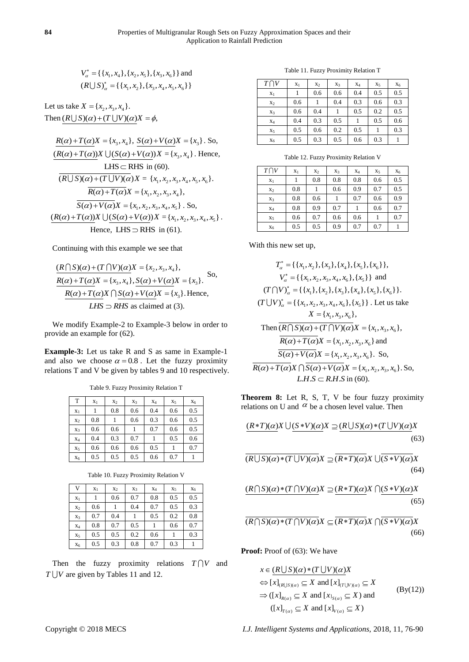$V_{\alpha}^* = {\ \{x_1, x_4\}, \{x_2, x_5\}, \{x_3, x_6\} \}$  and  $(R \cup S)_\alpha^* = \{\{x_1, x_2\}, \{x_3, x_4, x_5, x_6\}\}\$ 

Let us take  $X = \{x_2, x_3, x_4\}.$ Then  $(R \cup S)(\alpha) + (T \cup V)(\alpha)X = \phi$ ,

 $R(\alpha) + T(\alpha)X = \{x_3, x_4\}, S(\alpha) + V(\alpha)X = \{x_3\}.$  So,  $R(\alpha) + T(\alpha)X \cup (S(\alpha) + V(\alpha))X = \{x_3, x_4\}.$  Hence, LHS  $\subset$  RHS in (60).  $\overline{(R\bigcup S)(\alpha)+(T\bigcup V)(\alpha)}X = \{x_1, x_2, x_3, x_4, x_5, x_6\}.$  $\overline{R(\alpha)+T(\alpha)}X = \{x_1, x_2, x_3, x_4\},\,$  $S(\alpha) + V(\alpha)X = \{x_1, x_2, x_3, x_4, x_5\}$ . So,  $(R(\alpha) + T(\alpha))X \bigcup (S(\alpha) + V(\alpha))X = \{x_1, x_2, x_3, x_4, x_5\}.$ Hence, LHS  $\supset$  RHS in (61).

Continuing with this example we see that

 $R \cap S(\alpha) + (T \cap V)(\alpha)X = \{x_2, x_3, x_4\},$  $(R \mid S)(\alpha) + (T \mid V)(\alpha)X = \{x_2, x_3, x_4\},$ <br>  $R(\alpha) + T(\alpha)X = \{x_3, x_4\}, S(\alpha) + V(\alpha)X = \{x_3\}.$ So,  $R(\alpha) + T(\alpha)X \cap S(\alpha) + V(\alpha)X = \{x_3\}.$  Hence, *LHS*  $\supset$  *RHS* as claimed at (3).

We modify Example-2 to Example-3 below in order to provide an example for (62).

**Example-3:** Let us take R and S as same in Example-1 and also we choose  $\alpha = 0.8$ . Let the fuzzy proximity relations T and V be given by tables 9 and 10 respectively.

Table 9. Fuzzy Proximity Relation T

| T              | X <sub>1</sub> | X <sub>2</sub> | X3  | $X_4$ | X <sub>5</sub> | $X_6$ |
|----------------|----------------|----------------|-----|-------|----------------|-------|
| $X_1$          |                | 0.8            | 0.6 | 0.4   | 0.6            | 0.5   |
| X <sub>2</sub> | 0.8            |                | 0.6 | 0.3   | 0.6            | 0.5   |
| $X_3$          | 0.6            | 0.6            |     | 0.7   | 0.6            | 0.5   |
| $X_4$          | 0.4            | 0.3            | 0.7 |       | 0.5            | 0.6   |
| $X_5$          | 0.6            | 0.6            | 0.6 | 0.5   |                | 0.7   |
| $X_6$          | 0.5            | 0.5            | 0.5 | 0.6   | 0.7            |       |

Table 10. Fuzzy Proximity Relation V

| V     | $X_1$ | $x_2$ | $X_3$ | $X_4$ | $X_5$ | $X_6$ |
|-------|-------|-------|-------|-------|-------|-------|
| $X_1$ | 1     | 0.6   | 0.7   | 0.8   | 0.5   | 0.5   |
| $x_2$ | 0.6   |       | 0.4   | 0.7   | 0.5   | 0.3   |
| $X_3$ | 0.7   | 0.4   |       | 0.5   | 0.2   | 0.8   |
| $X_4$ | 0.8   | 0.7   | 0.5   |       | 0.6   | 0.7   |
| $X_5$ | 0.5   | 0.5   | 0.2   | 0.6   |       | 0.3   |
| $X_6$ | 0.5   | 0.3   | 0.8   | 0.7   | 0.3   |       |

Then the fuzzy proximity relations  $T \bigcap V$  and  $T \cup V$  are given by Tables 11 and 12.

Table 11. Fuzzy Proximity Relation T

| $T \cap V$ | $x_1$ | $X_2$ | $X_3$ | $X_4$ | $X_5$ | $X_6$ |
|------------|-------|-------|-------|-------|-------|-------|
| $X_1$      |       | 0.6   | 0.6   | 0.4   | 0.5   | 0.5   |
| $X_2$      | 0.6   |       | 0.4   | 0.3   | 0.6   | 0.3   |
| $X_3$      | 0.6   | 0.4   |       | 0.5   | 0.2   | 0.5   |
| $X_4$      | 0.4   | 0.3   | 0.5   |       | 0.5   | 0.6   |
| $X_5$      | 0.5   | 0.6   | 0.2   | 0.5   |       | 0.3   |
| $X_6$      | 0.5   | 0.3   | 0.5   | 0.6   | 0.3   |       |

Table 12. Fuzzy Proximity Relation V

| $T \cap V$ | $x_1$ | $X_2$ | $X_3$ | $X_4$ | $X_5$ | $X_6$ |
|------------|-------|-------|-------|-------|-------|-------|
| $X_1$      |       | 0.8   | 0.8   | 0.8   | 0.6   | 0.5   |
| $X_2$      | 0.8   |       | 0.6   | 0.9   | 0.7   | 0.5   |
| $X_3$      | 0.8   | 0.6   |       | 0.7   | 0.6   | 0.9   |
| $X_4$      | 0.8   | 0.9   | 0.7   |       | 0.6   | 0.7   |
| $X_5$      | 0.6   | 0.7   | 0.6   | 0.6   |       | 0.7   |
| $X_6$      | 0.5   | 0.5   | 0.9   | 0.7   | 0.7   |       |

With this new set up,

$$
T_{\alpha}^{*} = \{\{x_{1}, x_{2}\}, \{x_{3}\}, \{x_{4}\}, \{x_{5}\}, \{x_{6}\}\},
$$
  
\n
$$
V_{\alpha}^{*} = \{\{x_{1}, x_{2}, x_{3}, x_{4}, x_{6}\}, \{x_{5}\}\} \text{ and}
$$
  
\n
$$
(T \cap V)_{\alpha}^{*} = \{\{x_{1}\}, \{x_{2}\}, \{x_{3}\}, \{x_{4}\}, \{x_{5}\}, \{x_{6}\}\}.
$$
  
\n
$$
(T \cup V)_{\alpha}^{*} = \{\{x_{1}, x_{2}, x_{3}, x_{4}, x_{6}\}, \{x_{5}\}\}.
$$
 Let us take  
\n
$$
X = \{x_{1}, x_{3}, x_{6}\},
$$
  
\nThen 
$$
\overline{(R \cap S)(\alpha) + (T \cap V)(\alpha)}X = \{x_{1}, x_{3}, x_{6}\},
$$
  
\n
$$
\overline{R(\alpha) + T(\alpha)}X = \{x_{1}, x_{2}, x_{3}, x_{6}\} \text{ and}
$$
  
\n
$$
\overline{S(\alpha) + V(\alpha)}X = \{x_{1}, x_{2}, x_{3}, x_{6}\}.
$$
 So,  
\n
$$
\overline{R(\alpha) + T(\alpha)}X \cap \overline{S(\alpha) + V(\alpha)}X = \{x_{1}, x_{2}, x_{3}, x_{6}\}.
$$
 So,  
\n
$$
LHS \subset R.H.S \text{ in (60)}.
$$

**Theorem 8:** Let R, S, T, V be four fuzzy proximity

relations on U and 
$$
\alpha
$$
 be a chosen level value. Then  
\n
$$
\frac{(R*T)(\alpha)}{X} \cup \frac{(S*V)(\alpha)}{S} \supseteq \frac{(R \cup S)(\alpha)*(T \cup V)(\alpha)}{(63)}
$$

$$
\overline{(R\bigcup S)(\alpha)^*(T\bigcup V)(\alpha)}X \supseteq \overline{(R*T)(\alpha)}X \bigcup \overline{(S*V)(\alpha)}X
$$
\n(64)

$$
\underbrace{(R \cap S)(\alpha) * (T \cap V)(\alpha)}X \supseteq \underbrace{(R * T)(\alpha)}X \cap \underbrace{(S * V)(\alpha)}X
$$
\n(65)

$$
\overline{(R \cap S)(\alpha)^*(T \cap V)(\alpha)}X \subseteq \overline{(R*T)(\alpha)}X \cap \overline{(S*V)(\alpha)}X
$$
\n(66)

**Proof:** Proof of (63): We have

$$
x \in (R \cup S)(\alpha) * (T \cup V)(\alpha)X
$$
  
\n
$$
\Leftrightarrow [x]_{(R \cup S)(\alpha)} \subseteq X \text{ and } [x]_{(T \cup V)(\alpha)} \subseteq X
$$
  
\n
$$
\Rightarrow ([x]_{R(\alpha)} \subseteq X \text{ and } [x]_{S(\alpha)} \subseteq X) \text{ and }
$$
  
\n
$$
([x]_{T(\alpha)} \subseteq X \text{ and } [x]_{V(\alpha)} \subseteq X)
$$
  
\n(By(12))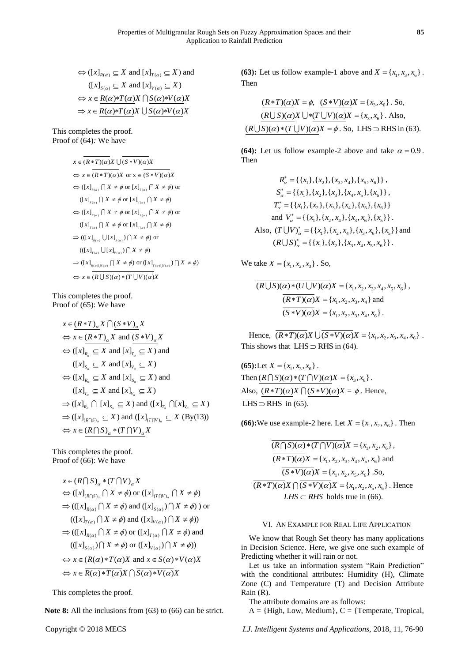$\Leftrightarrow$  ([x]<sub> $_{R(\alpha)} \subseteq X$  and [x]<sub> $_{T(\alpha)} \subseteq X$ ) and</sub></sub>  $([x]_{S(\alpha)} \subseteq X \text{ and } [x]_{V(\alpha)} \subseteq X)$  $(x, y_{S(\alpha)}) \equiv 1$  and  $(xy_{V(\alpha)}) \equiv 1$ <br>  $\Leftrightarrow x \in R(\alpha)*T(\alpha)X \cap S(\alpha)*V(\alpha)X$  $\Rightarrow x \in \frac{R(\alpha)^2 \Gamma(\alpha)}{X} \cup \frac{S(\alpha)^2 \Gamma(\alpha)}{S(\alpha)^2}$ 

This completes the proof. Proof of (64)*:* We have

$$
x \in \overline{(R*T)(\alpha)}X \cup \overline{(S*V)(\alpha)}X
$$
  
\n
$$
\Leftrightarrow x \in \overline{(R*T)(\alpha)}X \text{ or } x \in \overline{(S*V)(\alpha)}X
$$
  
\n
$$
\Leftrightarrow ([x]_{R(\alpha)} \cap X \neq \phi \text{ or } [x]_{T(\alpha)} \cap X \neq \phi) \text{ or }
$$
  
\n
$$
([x]_{S(\alpha)} \cap X \neq \phi \text{ or } [x]_{V(\alpha)} \cap X \neq \phi)
$$
  
\n
$$
\Leftrightarrow ([x]_{T(\alpha)} \cap X \neq \phi \text{ or } [x]_{S(\alpha)} \cap X \neq \phi) \text{ or }
$$
  
\n
$$
([x]_{T(\alpha)} \cap X \neq \phi \text{ or } [x]_{V(\alpha)} \cap X \neq \phi)
$$
  
\n
$$
\Rightarrow (([x]_{T(\alpha)} \cup [x]_{S(\alpha)}) \cap X \neq \phi) \text{ or }
$$
  
\n
$$
((x]_{T(\alpha)} \cup [x]_{V(\alpha)}) \cap X \neq \phi) \text{ or } ((x]_{T(\alpha) \cup V(\alpha)}) \cap X \neq \phi)
$$
  
\n
$$
\Rightarrow ([x]_{R(\alpha) \cup S(\alpha)} \cap X \neq \phi) \text{ or } ([x]_{T(\alpha) \cup V(\alpha)}) \cap X \neq \phi)
$$
  
\n
$$
\Leftrightarrow x \in \overline{(R \cup S)(\alpha) * (T \cup V)(\alpha)}X
$$

This completes the proof. Proof of (65): We have

$$
x \in (R*T)_{\alpha} X \cap (S*V)_{\alpha} X
$$
  
\n
$$
\Leftrightarrow x \in (R*T)_{\alpha} X \text{ and } (S*V)_{\alpha} X
$$
  
\n
$$
\Leftrightarrow ([x]_{R_{\alpha}} \subseteq X \text{ and } [x]_{T_{\alpha}} \subseteq X) \text{ and}
$$
  
\n
$$
([x]_{S_{\alpha}} \subseteq X \text{ and } [x]_{V_{\alpha}} \subseteq X)
$$
  
\n
$$
\Leftrightarrow ([x]_{R_{\alpha}} \subseteq X \text{ and } [x]_{S_{\alpha}} \subseteq X) \text{ and}
$$
  
\n
$$
([x]_{T_{\alpha}} \subseteq X \text{ and } [x]_{V_{\alpha}} \subseteq X)
$$
  
\n
$$
\Rightarrow ([x]_{R_{\alpha}} \cap [x]_{S_{\alpha}} \subseteq X) \text{ and } ([x]_{T_{\alpha}} \cap [x]_{V_{\alpha}} \subseteq X)
$$
  
\n
$$
\Rightarrow ([x]_{(R \cap S)_{\alpha}} \subseteq X) \text{ and } ([x]_{(T \cap V)_{\alpha}} \subseteq X \text{ (By(13))}
$$
  
\n
$$
\Leftrightarrow x \in (R \cap S)_{\alpha} * (T \cap V)_{\alpha} X
$$

This completes the proof. Proof of (66): We have

$$
x \in \overline{(R \cap S)_\alpha * (T \cap V)_\alpha} X
$$
  
\n
$$
\Leftrightarrow ([x]_{(R \cap S)_\alpha} \cap X \neq \phi) \text{ or } ([x]_{(T \cap V)_\alpha} \cap X \neq \phi)
$$
  
\n
$$
\Rightarrow (((x]_{R(\alpha)} \cap X \neq \phi) \text{ and } ([x]_{S(\alpha)}) \cap X \neq \phi)) \text{ or }
$$
  
\n
$$
(([x]_{T(\alpha)} \cap X \neq \phi) \text{ and } ([x]_{V(\alpha)}) \cap X \neq \phi))
$$
  
\n
$$
\Rightarrow (([x]_{R(\alpha)} \cap X \neq \phi) \text{ or } ([x]_{T(\alpha)} \cap X \neq \phi) \text{ and }
$$
  
\n
$$
(([x]_{S(\alpha)}) \cap X \neq \phi) \text{ or } ([x]_{V(\alpha)} \cap X \neq \phi))
$$
  
\n
$$
\Leftrightarrow x \in \overline{(R(\alpha) * T(\alpha)} X \text{ and } x \in \overline{S(\alpha) * V(\alpha)} X
$$
  
\n
$$
\Leftrightarrow x \in \overline{R(\alpha) * T(\alpha)} X \cap \overline{S(\alpha) * V(\alpha)} X
$$

This completes the proof.

**Note 8:** All the inclusions from (63) to (66) can be strict.

**(63):** Let us follow example-1 above and  $X = \{x_1, x_3, x_6\}$ . Then

$$
\frac{(R*T)(\alpha)X = \phi, (S*V)(\alpha)X = \{x_3, x_6\}. So, (R\bigcup S)(\alpha)X \bigcup * (T\bigcup V)(\alpha)X = \{x_3, x_6\}. Also, (R\bigcup S)(\alpha) * (T\bigcup V)(\alpha)X = \phi. So, LHS \supset \text{RHS in (63)}.
$$

**(64):** Let us follow example-2 above and take  $\alpha = 0.9$ . Then

$$
R_{\alpha}^{*} = \{ \{x_{1}\}, \{x_{2}\}, \{x_{3}, x_{4}\}, \{x_{5}, x_{6}\} \},
$$
\n
$$
S_{\alpha}^{*} = \{ \{x_{1}\}, \{x_{2}\}, \{x_{3}\}, \{x_{4}, x_{5}\}, \{x_{6}\} \},
$$
\n
$$
T_{\alpha}^{*} = \{ \{x_{1}\}, \{x_{2}\}, \{x_{3}\}, \{x_{4}\}, \{x_{5}\}, \{x_{6}\} \}
$$
\nand 
$$
V_{\alpha}^{*} = \{ \{x_{1}\}, \{x_{2}, x_{4}\}, \{x_{3}, x_{6}\}, \{x_{5}\} \}.
$$
\nAlso, 
$$
(T \cup V)_{\alpha}^{*} = \{ \{x_{1}\}, \{x_{2}, x_{4}\}, \{x_{3}, x_{6}\}, \{x_{5}\} \} \text{ and }
$$
\n
$$
(R \cup S)_{\alpha}^{*} = \{ \{x_{1}\}, \{x_{2}\}, \{x_{3}, x_{4}, x_{5}, x_{6}\} \}.
$$

We take  $X = \{x_1, x_2, x_3\}$ . So,

$$
\overline{(R \cup S)(\alpha) * (U \cup V)(\alpha)} X = \{x_1, x_2, x_3, x_4, x_5, x_6\},
$$
\n
$$
\overline{(R * T)(\alpha)} X = \{x_1, x_2, x_3, x_4\} \text{ and }
$$
\n
$$
\overline{(S * V)(\alpha)} X = \{x_1, x_2, x_3, x_4, x_6\}.
$$

Hence,  $\overline{(R*T)(\alpha)}X \cup \overline{(S*V)(\alpha)}X = \{x_1, x_2, x_3, x_4, x_6\}$ . This shows that  $LHS \supset$  RHS in (64).

**(65):**Let  $X = \{x_1, x_3, x_6\}$ . (**b**). Let  $X = \{x_1, x_3, x_6\}$ .<br>Then  $(R \cap S)(\alpha) * (T \cap V)(\alpha)X = \{x_3, x_6\}$ . Also,  $(R*T)(\alpha)X \cap (S*V)(\alpha)X = \phi$ . Hence, LHS  $\supset$  RHS in (65).

**(66):** We use example-2 here. Let  $X = \{x_1, x_2, x_6\}$ . Then

$$
\overline{(R \cap S)(\alpha) * (T \cap V)(\alpha)} X = \{x_1, x_2, x_6\},
$$
\n
$$
\overline{(R*T)(\alpha)} X = \{x_1, x_2, x_3, x_4, x_5, x_6\} \text{ and }
$$
\n
$$
\overline{(S*V)(\alpha)} X = \{x_1, x_2, x_5, x_6\} \text{ .So, }
$$
\n
$$
\overline{(R*T)(\alpha)} X \cap \overline{(S*V)(\alpha)} X = \{x_1, x_2, x_5, x_6\} \text{ . Hence }
$$
\n
$$
\overline{LHS} \subset \overline{RHS} \text{ holds true in (66).}
$$

# VI. AN EXAMPLE FOR REAL LIFE APPLICATION

We know that Rough Set theory has many applications in Decision Science. Here, we give one such example of Predicting whether it will rain or not.

Let us take an information system "Rain Prediction" with the conditional attributes: Humidity (H), Climate Zone (C) and Temperature (T) and Decision Attribute Rain (R).

The attribute domains are as follows:

 $A = \{High, Low, Medium\}, C = \{Temperature, Tropical,$ 

Copyright © 2018 MECS *I.J. Intelligent Systems and Applications,* 2018, 11, 76-90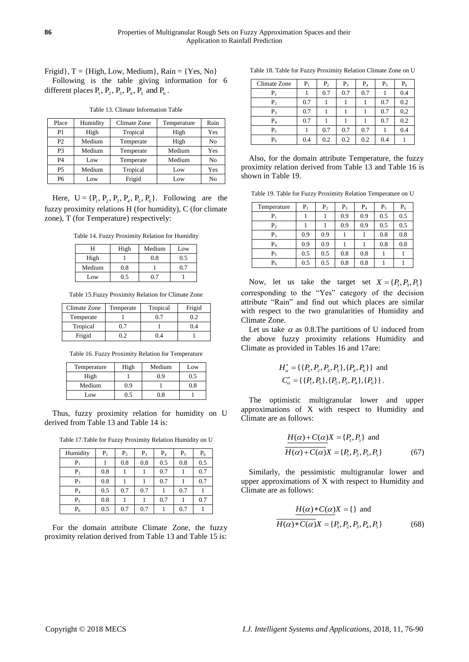Frigid, T = {High, Low, Medium}, Rain = {Yes, No} Following is the table giving information for 6 different places  $P_1$ ,  $P_2$ ,  $P_3$ ,  $P_4$ ,  $P_5$  and  $P_6$ .

Table 13. Climate Information Table

| Place          | Humidity | Climate Zone | Temperature | Rain |
|----------------|----------|--------------|-------------|------|
| P1             | High     | Tropical     | High        | Yes  |
| P <sub>2</sub> | Medium   | Temperate    | High        | No   |
| P <sub>3</sub> | Medium   | Temperate    | Medium      | Yes  |
| <b>P4</b>      | Low      | Temperate    | Medium      | No   |
| <b>P5</b>      | Medium   | Tropical     | Low         | Yes  |
| P6             | Low.     | Frigid       | Low         | No   |

Here,  $U = \{P_1, P_2, P_3, P_4, P_5, P_6\}$ . Following are the fuzzy proximity relations H (for humidity), C (for climate zone), T (for Temperature) respectively:

Table 14. Fuzzy Proximity Relation for Humidity

| Н      | High | Medium | Low |
|--------|------|--------|-----|
| High   |      | 0.8    | 0.5 |
| Medium | 0.8  |        |     |
| Low    |      | י די   |     |

Table 15.Fuzzy Proximity Relation for Climate Zone

| Climate Zone | Temperate | Tropical | Frigid |
|--------------|-----------|----------|--------|
| Temperate    |           |          | 02     |
| Tropical     | 0.7       |          | 0.4    |
| Frigid       | 0.2       | O 4      |        |

Table 16. Fuzzy Proximity Relation for Temperature

| Temperature | High         | Medium | Low |
|-------------|--------------|--------|-----|
| High        |              | 0.9    | 0.5 |
| Medium      | 0.9          |        | 0.8 |
| Low         | $.5^{\circ}$ | 0.8    |     |

Thus, fuzzy proximity relation for humidity on U derived from Table 13 and Table 14 is:

Table 17.Table for Fuzzy Proximity Relation Humidity on U

| Humidity       | $P_1$ | P <sub>2</sub> | $P_3$ | $P_4$ | $P_5$ | $P_6$ |
|----------------|-------|----------------|-------|-------|-------|-------|
| $P_1$          |       | 0.8            | 0.8   | 0.5   | 0.8   | 0.5   |
| P <sub>2</sub> | 0.8   |                |       | 0.7   |       | 0.7   |
| $P_3$          | 0.8   |                |       | 0.7   |       | 0.7   |
| $P_4$          | 0.5   | 0.7            | 0.7   |       | 0.7   |       |
| $P_5$          | 0.8   |                |       | 0.7   |       | 0.7   |
| $P_6$          | 0.5   | 0.7            | 0.7   |       | 0.7   |       |

For the domain attribute Climate Zone, the fuzzy proximity relation derived from Table 13 and Table 15 is:

Table 18. Table for Fuzzy Proximity Relation Climate Zone on U

| Climate Zone   | $P_1$ | P <sub>2</sub> | $P_3$ | $P_4$ | $P_5$ | $P_6$ |
|----------------|-------|----------------|-------|-------|-------|-------|
| $\rm P_1$      |       | 0.7            | 0.7   | 0.7   |       | 0.4   |
| P <sub>2</sub> | 0.7   |                |       |       | 0.7   | 0.2   |
| $P_3$          | 0.7   |                |       |       | 0.7   | 0,2   |
| $P_4$          | 0.7   |                |       |       | 0.7   | 0.2   |
| $P_5$          |       | 0.7            | 0.7   | 0.7   |       | 0.4   |
| $P_6$          | 0.4   | 0.2            | 0.2   | 0.2   | 0.4   |       |

Also, for the domain attribute Temperature, the fuzzy proximity relation derived from Table 13 and Table 16 is shown in Table 19.

Table 19. Table for Fuzzy Proximity Relation Temperature on U

| Temperature    | $P_1$ | P <sub>2</sub> | $P_3$ | $P_4$ | $P_5$ | $P_6$ |
|----------------|-------|----------------|-------|-------|-------|-------|
| $P_1$          |       |                | 0.9   | 0.9   | 0.5   | 0.5   |
| P <sub>2</sub> |       |                | 0.9   | 0.9   | 0.5   | 0.5   |
| $P_3$          | 0.9   | 0.9            |       |       | 0.8   | 0.8   |
| $P_4$          | 0.9   | 0.9            |       |       | 0.8   | 0.8   |
| $P_5$          | 0.5   | 0.5            | 0.8   | 0.8   |       |       |
| $P_6$          | 0.5   | 0.5            | 0.8   | 0.8   |       |       |

Now, let us take the target set  $X = \{P_1, P_3, P_5\}$ corresponding to the "Yes" category of the decision attribute "Rain" and find out which places are similar with respect to the two granularities of Humidity and Climate Zone.

Let us take  $\alpha$  as 0.8. The partitions of U induced from the above fuzzy proximity relations Humidity and Climate as provided in Tables 16 and 17are:

$$
H_{\alpha}^{*} = \{ \{P_1, P_2, P_3, P_5\}, \{P_4, P_6\} \} \text{ and}
$$
  

$$
C_{\alpha}^{*} = \{ \{P_1, P_5\}, \{P_2, P_3, P_4\}, \{P_6\} \}.
$$

The optimistic multigranular lower and upper approximations of X with respect to Humidity and Climate are as follows:

$$
\frac{H(\alpha) + C(\alpha)}{H(\alpha) + C(\alpha)}X = \{P_1, P_2, P_3, P_5\}
$$
 (67)

Similarly, the pessimistic multigranular lower and upper approximations of X with respect to Humidity and Climate are as follows:

$$
\frac{H(\alpha)*C(\alpha)X = \{\} \text{ and }}{H(\alpha)*C(\alpha)X = \{P_1, P_2, P_3, P_4, P_5\}}
$$
(68)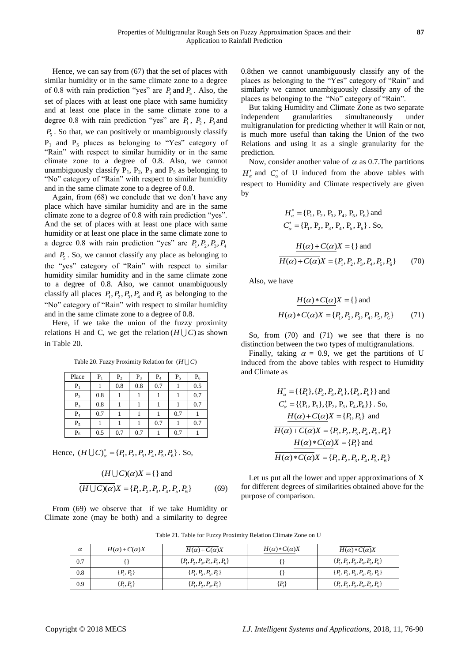Hence, we can say from (67) that the set of places with similar humidity or in the same climate zone to a degree of 0.8 with rain prediction "yes" are  $P_1$  and  $P_5$ . Also, the set of places with at least one place with same humidity and at least one place in the same climate zone to a degree 0.8 with rain prediction "yes" are  $P_1$ ,  $P_2$ ,  $P_3$  and *P*5 . So that, we can positively or unambiguously classify  $P_1$  and  $P_5$  places as belonging to "Yes" category of "Rain" with respect to similar humidity or in the same climate zone to a degree of 0.8. Also, we cannot unambiguously classify  $P_1$ ,  $P_2$ ,  $P_3$  and  $P_5$  as belonging to "No" category of "Rain" with respect to similar humidity and in the same climate zone to a degree of 0.8.

Again, from (68) we conclude that we don't have any place which have similar humidity and are in the same climate zone to a degree of 0.8 with rain prediction "yes". And the set of places with at least one place with same humidity or at least one place in the same climate zone to a degree 0.8 with rain prediction "yes" are  $P_1, P_2, P_3, P_4$ and  $P_5$ . So, we cannot classify any place as belonging to the "yes" category of "Rain" with respect to similar humidity similar humidity and in the same climate zone to a degree of 0.8. Also, we cannot unambiguously classify all places  $P_1, P_2, P_3, P_4$  and  $P_5$  as belonging to the "No" category of "Rain" with respect to similar humidity and in the same climate zone to a degree of 0.8.

Here, if we take the union of the fuzzy proximity relations H and C, we get the relation  $(H \cup C)$  as shown in Table 20.

Table 20. Fuzzy Proximity Relation for  $(H \cup C)$ 

| Place          | $P_1$ | P <sub>2</sub> | $P_3$ | $P_4$ | $P_5$ | $P_6$ |
|----------------|-------|----------------|-------|-------|-------|-------|
| $P_1$          |       | 0.8            | 0.8   | 0.7   |       | 0.5   |
| P <sub>2</sub> | 0.8   |                |       |       |       | 0.7   |
| $P_3$          | 0.8   |                |       |       |       | 0.7   |
| $P_4$          | 0.7   |                |       |       | 0.7   |       |
| $P_5$          |       |                |       | 0.7   |       | 0.7   |
| $P_6$          | 0.5   | 0.7            | 0.7   |       | 0.7   |       |

Hence,  $(H \cup C)_{\alpha}^* = \{P_1, P_2, P_3, P_4, P_5, P_6\}$ . So,

$$
\frac{(H \cup C)(\alpha)}{(H \cup C)(\alpha)} X = \{ \} \text{ and}
$$
\n
$$
\overline{(H \cup C)(\alpha)} X = \{ P_1, P_2, P_3, P_4, P_5, P_6 \} \tag{69}
$$

From (69) we observe that if we take Humidity or Climate zone (may be both) and a similarity to degree 0.8then we cannot unambiguously classify any of the places as belonging to the "Yes" category of "Rain" and similarly we cannot unambiguously classify any of the places as belonging to the "No" category of "Rain".

But taking Humidity and Climate Zone as two separate independent granularities simultaneously under multigranulation for predicting whether it will Rain or not, is much more useful than taking the Union of the two Relations and using it as a single granularity for the prediction.

Now, consider another value of  $\alpha$  as 0.7. The partitions  $H^*_{\alpha}$  and  $C^*_{\alpha}$  of U induced from the above tables with respect to Humidity and Climate respectively are given by

$$
H_{\alpha}^{*} = \{P_{1}, P_{2}, P_{3}, P_{4}, P_{5}, P_{6}\} \text{ and}
$$
  
\n
$$
C_{\alpha}^{*} = \{P_{1}, P_{2}, P_{3}, P_{4}, P_{5}, P_{6}\}.
$$
 So,  
\n
$$
\frac{H(\alpha) + C(\alpha)X}{H(\alpha) + C(\alpha)X} = \{P_{1}, P_{2}, P_{3}, P_{4}, P_{5}, P_{6}\}
$$
 (70)

Also, we have

$$
\frac{H(\alpha)*C(\alpha)X = \{\} \text{ and }}{H(\alpha)*C(\alpha)X = \{P_1, P_2, P_3, P_4, P_5, P_6\}}
$$
(71)

So, from (70) and (71) we see that there is no distinction between the two types of multigranulations.

Finally, taking  $\alpha = 0.9$ , we get the partitions of U induced from the above tables with respect to Humidity and Climate as

$$
H_{\alpha}^{*} = \{ \{P_{1}\}, \{P_{2}, P_{3}, P_{5}\}, \{P_{4}, P_{6}\} \} \text{ and}
$$
  
\n
$$
C_{\alpha}^{*} = \{ \{P_{1}, P_{5}\}, \{P_{2}, P_{3}, P_{4}, P_{6}\} \} . So,
$$
  
\n
$$
\frac{H(\alpha) + C(\alpha)X}{H(\alpha) + C(\alpha)X} = \{P_{1}, P_{2}, P_{3}, P_{4}, P_{5}, P_{6}\}
$$
  
\n
$$
\frac{H(\alpha) * C(\alpha)X}{H(\alpha) * C(\alpha)X} = \{P_{1}, P_{2}, P_{3}, P_{4}, P_{5}, P_{6}\}
$$
  
\n
$$
\frac{H(\alpha) * C(\alpha)X}{H(\alpha) * C(\alpha)X} = \{P_{1}, P_{2}, P_{3}, P_{4}, P_{5}, P_{6}\}
$$

Let us put all the lower and upper approximations of X for different degrees of similarities obtained above for the purpose of comparison.

| $\alpha$ | $H(\alpha) + C(\alpha)X$ | $H(\alpha) + C(\alpha)X$           | $H(\alpha)*C(\alpha)X$ | $H(\alpha)*C(\alpha)X$             |
|----------|--------------------------|------------------------------------|------------------------|------------------------------------|
| 0.7      |                          | $\{P_1, P_2, P_3, P_4, P_5, P_6\}$ |                        | $\{P_1, P_2, P_3, P_4, P_5, P_6\}$ |
| 0.8      | $\{P_{1}, P_{5}\}$       | $\{P_1, P_2, P_3, P_5\}$           |                        | $\{P_1, P_2, P_3, P_4, P_5, P_6\}$ |
| 0.9      | $\{P_1, P_5\}$           | $\{P_1, P_2, P_3, P_5\}$           | $P_{1}$                | $\{P_1, P_2, P_3, P_4, P_5, P_6\}$ |

Table 21. Table for Fuzzy Proximity Relation Climate Zone on U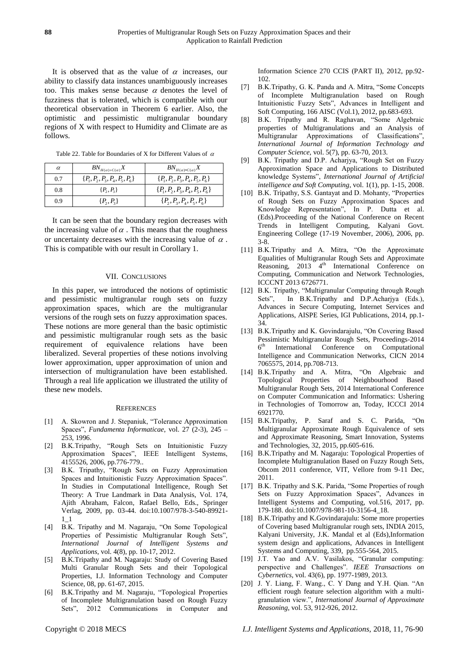It is observed that as the value of  $\alpha$  increases, our ability to classify data instances unambiguously increases too. This makes sense because  $\alpha$  denotes the level of fuzziness that is tolerated, which is compatible with our theoretical observation in Theorem 6 earlier. Also, the optimistic and pessimistic multigranular boundary regions of X with respect to Humidity and Climate are as follows.

Table 22. Table for Boundaries of X for Different Values of  $\alpha$ 

| $\alpha$ | $BN_{H(\alpha)+C(\alpha)}X$        | $BN_{H(\alpha)*C(\alpha)}X$        |
|----------|------------------------------------|------------------------------------|
| 0.7      | $\{P_1, P_2, P_3, P_4, P_5, P_6\}$ | $\{P_1, P_2, P_3, P_4, P_5, P_6\}$ |
| 0.8      | $\{P_2, P_3\}$                     | $\{P_1, P_2, P_3, P_4, P_5, P_6\}$ |
| 0.9      | $\{P_2, P_3\}$                     | $\{P_2, P_3, P_4, P_5, P_6\}$      |

It can be seen that the boundary region decreases with the increasing value of  $\alpha$ . This means that the roughness or uncertainty decreases with the increasing value of  $\alpha$ . This is compatible with our result in Corollary 1.

# VII. CONCLUSIONS

In this paper, we introduced the notions of optimistic and pessimistic multigranular rough sets on fuzzy approximation spaces, which are the multigranular versions of the rough sets on fuzzy approximation spaces. These notions are more general than the basic optimistic and pessimistic multigranular rough sets as the basic requirement of equivalence relations have been liberalized. Several properties of these notions involving lower approximation, upper approximation of union and intersection of multigranulation have been established. Through a real life application we illustrated the utility of these new models.

### **REFERENCES**

- [1] A. Skowron and J. Stepaniuk, "Tolerance Approximation Spaces", *Fundamenta Informaticae*, vol. 27 (2-3), 245 – 253, 1996.
- [2] B.K.Tripathy, "Rough Sets on Intuitionistic Fuzzy Approximation Spaces", IEEE Intelligent Systems, 4155526, 2006, pp.776-779..
- [3] B.K. Tripathy, "Rough Sets on Fuzzy Approximation Spaces and Intuitionistic Fuzzy Approximation Spaces". In Studies in Computational Intelligence, Rough Set Theory: A True Landmark in Data Analysis, Vol. 174, Ajith Abraham, Falcon, Rafael Bello, Eds., Springer Verlag, 2009, pp. 03-44. doi:10.1007/978-3-540-89921- 1\_1
- [4] B.K. Tripathy and M. Nagaraju, "On Some Topological Properties of Pessimistic Multigranular Rough Sets", *International Journal of Intelligent Systems and Applications*, vol. 4(8), pp. 10-17, 2012.
- [5] B.K.Tripathy and M. Nagaraju: Study of Covering Based Multi Granular Rough Sets and their Topological Properties, I.J. Information Technology and Computer Science, 08, pp. 61-67, 2015.
- [6] B.K.Tripathy and M. Nagaraju, "Topological Properties of Incomplete Multigranulation based on Rough Fuzzy Sets", 2012 Communications in Computer and

Information Science 270 CCIS (PART II), 2012, pp.92- 102.

- [7] B.K.Tripathy, G. K. Panda and A. Mitra, "Some Concepts of Incomplete Multigranulation based on Rough Intuitionistic Fuzzy Sets", Advances in Intelligent and Soft Computing, 166 AISC (Vol.1), 2012, pp.683-693.
- [8] B.K. Tripathy and R. Raghavan, "Some Algebraic properties of Multigranulations and an Analysis of Multigranular Approximations of Classifications", *International Journal of Information Technology and Computer Science*, vol. 5(7), pp. 63-70, 2013.
- [9] B.K. Tripathy and D.P. Acharjya, "Rough Set on Fuzzy Approximation Space and Applications to Distributed knowledge Systems", *International Journal of Artificial intelligence and Soft Computing*, vol. 1(1), pp. 1-15, 2008.
- [10] B.K. Tripathy, S.S. Gantayat and D. Mohanty, "Properties of Rough Sets on Fuzzy Approximation Spaces and Knowledge Representation", In P. Dutta et al. (Eds).Proceeding of the National Conference on Recent Trends in Intelligent Computing, Kalyani Govt. Engineering College (17-19 November, 2006), 2006, pp. 3-8.
- [11] B.K.Tripathy and A. Mitra, "On the Approximate Equalities of Multigranular Rough Sets and Approximate Reasoning,  $2013 \tilde{ }4^{th}$  International Conference on Computing, Communication and Network Technologies, ICCCNT 2013 6726771.
- [12] B.K. Tripathy, "Multigranular Computing through Rough Sets", In B.K.Tripathy and D.P.Acharjya (Eds.), Advances in Secure Computing, Internet Services and Applications, AISPE Series, IGI Publications, 2014, pp.1- 34.
- [13] B.K.Tripathy and K. Govindarajulu, "On Covering Based Pessimistic Multigranular Rough Sets, Proceedings-2014  $6^{\text{th}}$ International Conference on Computational Intelligence and Communication Networks, CICN 2014 7065575, 2014, pp.708-713.
- [14] B.K.Tripathy and A. Mitra, "On Algebraic and Topological Properties of Neighbourhood Based Multigranular Rough Sets, 2014 International Conference on Computer Communication and Informatics: Ushering in Technologies of Tomorrow an, Today, ICCCI 2014 6921770.
- [15] B.K.Tripathy, P. Saraf and S. C. Parida, "On Multigranular Approximate Rough Equivalence of sets and Approximate Reasoning, Smart Innovation, Systems and Technologies, 32, 2015, pp.605-616.
- [16] B.K.Tripathy and M. Nagaraju: Topological Properties of Incomplete Multigranulation Based on Fuzzy Rough Sets, Obcom 2011 conference, VIT, Vellore from 9-11 Dec, 2011.
- [17] B.K. Tripathy and S.K. Parida, "Some Properties of rough Sets on Fuzzy Approximation Spaces", Advances in Intelligent Systems and Computing, vol.516, 2017, pp. 179-188. doi:10.1007/978-981-10-3156-4\_18.
- [18] B.K.Tripathy and K.Govindarajulu: Some more properties of Covering based Multigranular rough sets, INDIA 2015, Kalyani University, J.K. Mandal et al (Eds),Information system design and applications, Advances in Intelligent Systems and Computing, 339, pp.555-564, 2015.
- [19] J.T. Yao and A.V. Vasilakos, "Granular computing: perspective and Challenges". *IEEE Transactions on Cybernetics*, vol. 43(6), pp. 1977-1989, 2013.
- [20] J. Y. Liang, F. Wang., C. Y Dang and Y.H. Qian. "An efficient rough feature selection algorithm with a multigranulation view.", *International Journal of Approximate Reasoning*, vol. 53, 912-926, 2012.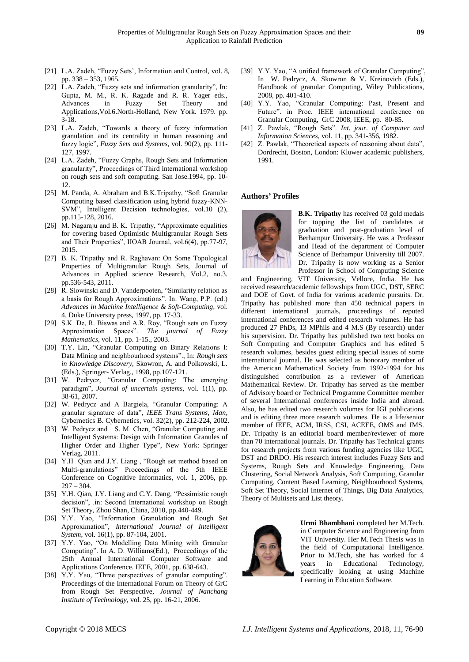- [21] L.A. Zadeh, "Fuzzy Sets', Information and Control, vol. 8, pp. 338 – 353, 1965.
- [22] L.A. Zadeh, "Fuzzy sets and information granularity", In: Gupta, M. M., R. K. Ragade and R. R. Yager eds., Advances in Fuzzy Set Theory and Applications,Vol.6.North-Holland, New York. 1979. pp. 3-18.
- [23] L.A. Zadeh, "Towards a theory of fuzzy information granulation and its centrality in human reasoning and fuzzy logic", *Fuzzy Sets and Systems*, vol. 90(2), pp. 111- 127, 1997.
- [24] L.A. Zadeh, "Fuzzy Graphs, Rough Sets and Information granularity", Proceedings of Third international workshop on rough sets and soft computing. San Jose.1994, pp. 10- 12.
- [25] M. Panda, A. Abraham and B.K.Tripathy, "Soft Granular Computing based classification using hybrid fuzzy-KNN-SVM", Intelligent Decision technologies, vol.10 (2), pp.115-128, 2016.
- [26] M. Nagaraju and B. K. Tripathy, "Approximate equalities for covering based Optimistic Multigranular Rough Sets and Their Properties", IIOAB Journal, vol.6(4), pp.77-97, 2015.
- [27] B. K. Tripathy and R. Raghavan: On Some Topological Properties of Multigranular Rough Sets, Journal of Advances in Applied science Research, Vol.2, no.3. pp.536-543, 2011.
- [28] R. Slowinski and D. Vanderpooten, "Similarity relation as a basis for Rough Approximations". In: Wang, P.P. (ed.) *Advances in Machine Intelligence & Soft-Computing*, vol. 4, Duke University press, 1997, pp. 17-33.
- [29] S.K. De, R. Biswas and A.R. Roy, "Rough sets on Fuzzy Approximation Spaces". *The journal of Fuzzy Mathematics*, vol. 11, pp. 1-15., 2003.
- [30] T.Y. Lin, "Granular Computing on Binary Relations I: Data Mining and neighbourhood systems"., In: *Rough sets in Knowledge Discovery*, Skowron, A. and Polkowski, L. (Eds.), Springer- Verlag., 1998, pp.107-121.
- [31] W. Pedrycz, "Granular Computing: The emerging paradigm", *Journal of uncertain systems*, vol. 1(1), pp. 38-61, 2007.
- [32] W. Pedrycz and A Bargiela, "Granular Computing: A granular signature of data", *IEEE Trans Systems, Man*, Cybernetics B. Cybernetics, vol. 32(2), pp. 212-224, 2002.
- [33] W. Pedrycz and S. M. Chen, "Granular Computing and Intelligent Systems: Design with Information Granules of Higher Order and Higher Type", New York: Springer Verlag, 2011.
- [34] Y.H Qian and J.Y. Liang, "Rough set method based on Multi-granulations" Proceedings of the 5th IEEE Conference on Cognitive Informatics, vol. 1, 2006, pp.  $297 - 304.$
- [35] Y.H. Qian, J.Y. Liang and C.Y. Dang, "Pessimistic rough decision", .in: Second International workshop on Rough Set Theory, Zhou Shan, China, 2010, pp.440-449.
- [36] Y.Y. Yao, "Information Granulation and Rough Set Approximation", *International Journal of Intelligent System*, vol. 16(1), pp. 87-104, 2001.
- [37] Y.Y. Yao, "On Modelling Data Mining with Granular Computing". In A. D. Williams(Ed.), Proceedings of the 25th Annual International Computer Software and Applications Conference. IEEE, 2001, pp. 638-643.
- [38] Y.Y. Yao, "Three perspectives of granular computing". Proceedings of the International Forum on Theory of GrC from Rough Set Perspective, *Journal of Nanchang Institute of Technology*, vol. 25, pp. 16-21, 2006.
- [39] Y.Y. Yao, "A unified framework of Granular Computing". In W. Pedrycz, A. Skowron & V. Kreinovich (Eds.), Handbook of granular Computing, Wiley Publications, 2008, pp. 401-410.
- [40] Y.Y. Yao, "Granular Computing: Past, Present and Future". in Proc. IEEE international conference on Granular Computing, GrC 2008, IEEE, pp. 80-85.
- [41] Z. Pawlak, "Rough Sets". *Int. jour. of Computer and Information Sciences*, vol. 11, pp. 341-356, 1982.
- [42] Z. Pawlak, "Theoretical aspects of reasoning about data", Dordrecht, Boston, London: Kluwer academic publishers, 1991.

# **Authors' Profiles**



**B.K. Tripathy** has received 03 gold medals for topping the list of candidates at graduation and post-graduation level of Berhampur University. He was a Professor and Head of the department of Computer Science of Berhampur University till 2007. Dr. Tripathy is now working as a Senior Professor in School of Computing Science

and Engineering, VIT University, Vellore, India. He has received research/academic fellowships from UGC, DST, SERC and DOE of Govt. of India for various academic pursuits. Dr. Tripathy has published more than 450 technical papers in different international journals, proceedings of reputed international conferences and edited research volumes. He has produced 27 PhDs, 13 MPhils and 4 M.S (By research) under his supervision. Dr. Tripathy has published two text books on Soft Computing and Computer Graphics and has edited 5 research volumes, besides guest editing special issues of some international journal. He was selected as honorary member of the American Mathematical Society from 1992-1994 for his distinguished contribution as a reviewer of American Mathematical Review. Dr. Tripathy has served as the member of Advisory board or Technical Programme Committee member of several International conferences inside India and abroad. Also, he has edited two research volumes for IGI publications and is editing three more research volumes. He is a life/senior member of IEEE, ACM, IRSS, CSI, ACEEE, OMS and IMS. Dr. Tripathy is an editorial board member/reviewer of more than 70 international journals. Dr. Tripathy has Technical grants for research projects from various funding agencies like UGC, DST and DRDO. His research interest includes Fuzzy Sets and Systems, Rough Sets and Knowledge Engineering, Data Clustering, Social Network Analysis, Soft Computing, Granular Computing, Content Based Learning, Neighbourhood Systems, Soft Set Theory, Social Internet of Things, Big Data Analytics, Theory of Multisets and List theory.



**Urmi Bhambhani** completed her M.Tech. in Computer Science and Engineering from VIT University. Her M.Tech Thesis was in the field of Computational Intelligence. Prior to M.Tech, she has worked for 4 years in Educational Technology, specifically looking at using Machine Learning in Education Software.